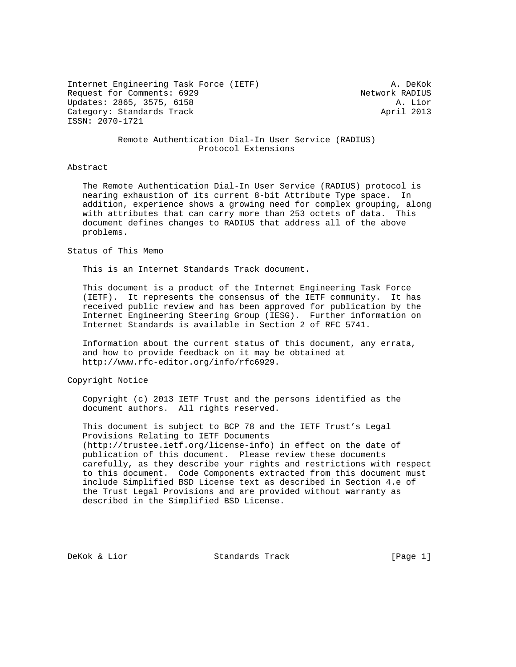Internet Engineering Task Force (IETF) A. DeKok Request for Comments: 6929 Network RADIUS Updates: 2865, 3575, 6158 A. Lior Category: Standards Track April 2013 ISSN: 2070-1721

## Remote Authentication Dial-In User Service (RADIUS) Protocol Extensions

## Abstract

 The Remote Authentication Dial-In User Service (RADIUS) protocol is nearing exhaustion of its current 8-bit Attribute Type space. In addition, experience shows a growing need for complex grouping, along with attributes that can carry more than 253 octets of data. This document defines changes to RADIUS that address all of the above problems.

Status of This Memo

This is an Internet Standards Track document.

 This document is a product of the Internet Engineering Task Force (IETF). It represents the consensus of the IETF community. It has received public review and has been approved for publication by the Internet Engineering Steering Group (IESG). Further information on Internet Standards is available in Section 2 of RFC 5741.

 Information about the current status of this document, any errata, and how to provide feedback on it may be obtained at http://www.rfc-editor.org/info/rfc6929.

Copyright Notice

 Copyright (c) 2013 IETF Trust and the persons identified as the document authors. All rights reserved.

 This document is subject to BCP 78 and the IETF Trust's Legal Provisions Relating to IETF Documents (http://trustee.ietf.org/license-info) in effect on the date of publication of this document. Please review these documents carefully, as they describe your rights and restrictions with respect to this document. Code Components extracted from this document must include Simplified BSD License text as described in Section 4.e of the Trust Legal Provisions and are provided without warranty as described in the Simplified BSD License.

DeKok & Lior Standards Track [Page 1]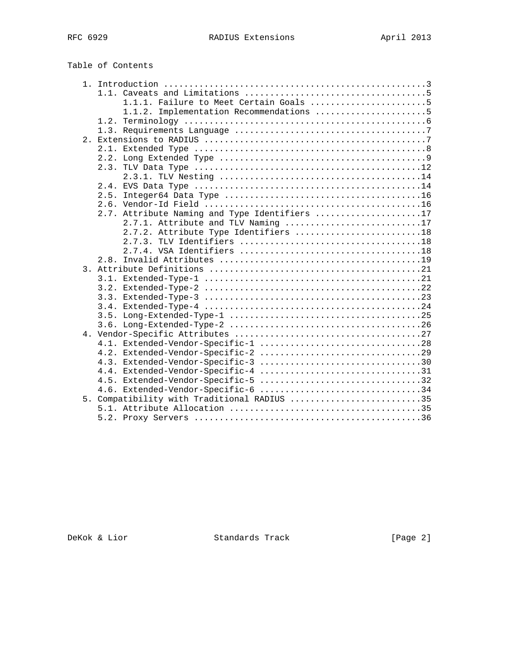| Table of Contents |  |
|-------------------|--|
|-------------------|--|

| 1.1.1. Failure to Meet Certain Goals 5        |
|-----------------------------------------------|
| 1.1.2. Implementation Recommendations 5       |
|                                               |
|                                               |
|                                               |
|                                               |
|                                               |
|                                               |
|                                               |
|                                               |
| 2.5.                                          |
|                                               |
| 2.7. Attribute Naming and Type Identifiers 17 |
| 2.7.1. Attribute and TLV Naming 17            |
| 2.7.2. Attribute Type Identifiers 18          |
|                                               |
|                                               |
|                                               |
|                                               |
|                                               |
|                                               |
|                                               |
|                                               |
|                                               |
|                                               |
|                                               |
|                                               |
|                                               |
| 4.3. Extended-Vendor-Specific-3 30            |
| 4.4. Extended-Vendor-Specific-4 31            |
| 4.5. Extended-Vendor-Specific-5 32            |
| 4.6. Extended-Vendor-Specific-6 34            |
| 5. Compatibility with Traditional RADIUS 35   |
|                                               |
|                                               |
|                                               |

DeKok & Lior Standards Track [Page 2]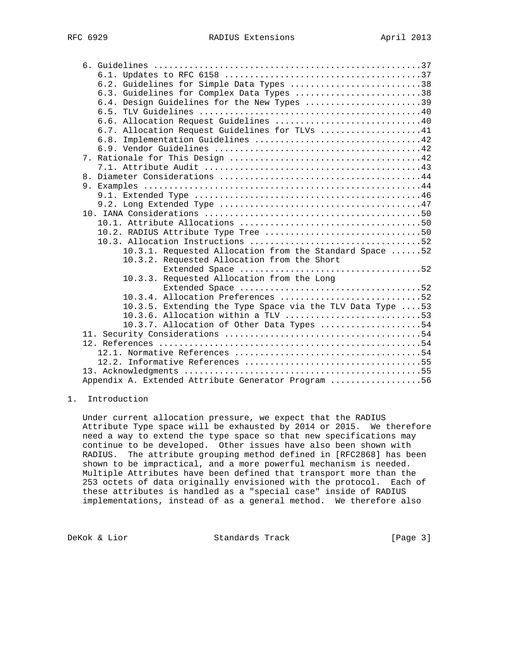|  | 6.2. Guidelines for Simple Data Types 38                                                                |
|--|---------------------------------------------------------------------------------------------------------|
|  | 6.3. Guidelines for Complex Data Types 38                                                               |
|  | 6.4. Design Guidelines for the New Types 39                                                             |
|  |                                                                                                         |
|  | 6.6. Allocation Request Guidelines 40                                                                   |
|  | 6.7. Allocation Request Guidelines for TLVs 41                                                          |
|  |                                                                                                         |
|  |                                                                                                         |
|  |                                                                                                         |
|  |                                                                                                         |
|  |                                                                                                         |
|  |                                                                                                         |
|  |                                                                                                         |
|  |                                                                                                         |
|  |                                                                                                         |
|  |                                                                                                         |
|  |                                                                                                         |
|  |                                                                                                         |
|  | 10.3.1. Requested Allocation from the Standard Space  52<br>10.3.2. Requested Allocation from the Short |
|  |                                                                                                         |
|  | Requested Allocation from the Long<br>10.3.3.                                                           |
|  |                                                                                                         |
|  | 10.3.4. Allocation Preferences 52                                                                       |
|  | 10.3.5. Extending the Type Space via the TLV Data Type 53                                               |
|  | 10.3.6. Allocation within a TLV 53                                                                      |
|  | 10.3.7. Allocation of Other Data Types 54                                                               |
|  |                                                                                                         |
|  |                                                                                                         |
|  |                                                                                                         |
|  |                                                                                                         |
|  |                                                                                                         |
|  | Appendix A. Extended Attribute Generator Program 56                                                     |

# 1. Introduction

 Under current allocation pressure, we expect that the RADIUS Attribute Type space will be exhausted by 2014 or 2015. We therefore need a way to extend the type space so that new specifications may continue to be developed. Other issues have also been shown with RADIUS. The attribute grouping method defined in [RFC2868] has been shown to be impractical, and a more powerful mechanism is needed. Multiple Attributes have been defined that transport more than the 253 octets of data originally envisioned with the protocol. Each of these attributes is handled as a "special case" inside of RADIUS implementations, instead of as a general method. We therefore also

DeKok & Lior Standards Track [Page 3]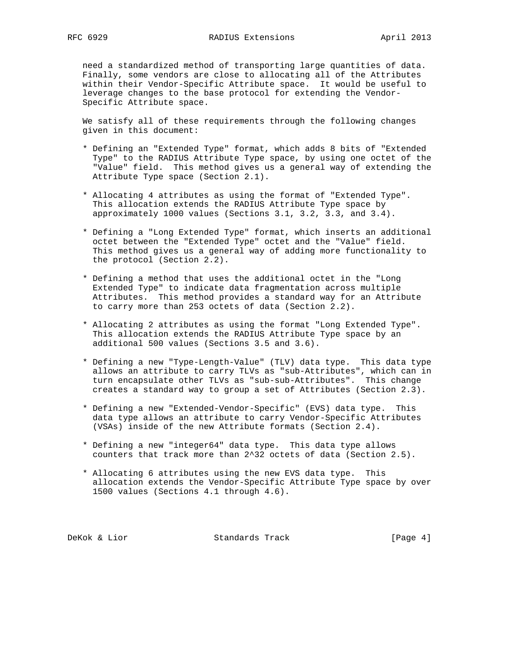need a standardized method of transporting large quantities of data. Finally, some vendors are close to allocating all of the Attributes within their Vendor-Specific Attribute space. It would be useful to leverage changes to the base protocol for extending the Vendor- Specific Attribute space.

 We satisfy all of these requirements through the following changes given in this document:

- \* Defining an "Extended Type" format, which adds 8 bits of "Extended Type" to the RADIUS Attribute Type space, by using one octet of the "Value" field. This method gives us a general way of extending the Attribute Type space (Section 2.1).
- \* Allocating 4 attributes as using the format of "Extended Type". This allocation extends the RADIUS Attribute Type space by approximately 1000 values (Sections 3.1, 3.2, 3.3, and 3.4).
- \* Defining a "Long Extended Type" format, which inserts an additional octet between the "Extended Type" octet and the "Value" field. This method gives us a general way of adding more functionality to the protocol (Section 2.2).
- \* Defining a method that uses the additional octet in the "Long Extended Type" to indicate data fragmentation across multiple Attributes. This method provides a standard way for an Attribute to carry more than 253 octets of data (Section 2.2).
- \* Allocating 2 attributes as using the format "Long Extended Type". This allocation extends the RADIUS Attribute Type space by an additional 500 values (Sections 3.5 and 3.6).
- \* Defining a new "Type-Length-Value" (TLV) data type. This data type allows an attribute to carry TLVs as "sub-Attributes", which can in turn encapsulate other TLVs as "sub-sub-Attributes". This change creates a standard way to group a set of Attributes (Section 2.3).
- \* Defining a new "Extended-Vendor-Specific" (EVS) data type. This data type allows an attribute to carry Vendor-Specific Attributes (VSAs) inside of the new Attribute formats (Section 2.4).
- \* Defining a new "integer64" data type. This data type allows counters that track more than 2^32 octets of data (Section 2.5).
- \* Allocating 6 attributes using the new EVS data type. This allocation extends the Vendor-Specific Attribute Type space by over 1500 values (Sections 4.1 through 4.6).

DeKok & Lior **Standards Track** [Page 4]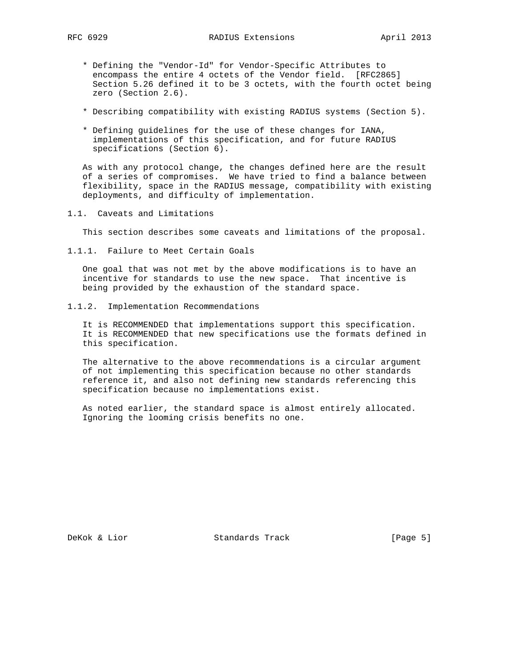- \* Defining the "Vendor-Id" for Vendor-Specific Attributes to encompass the entire 4 octets of the Vendor field. [RFC2865] Section 5.26 defined it to be 3 octets, with the fourth octet being zero (Section 2.6).
- \* Describing compatibility with existing RADIUS systems (Section 5).
- \* Defining guidelines for the use of these changes for IANA, implementations of this specification, and for future RADIUS specifications (Section 6).

 As with any protocol change, the changes defined here are the result of a series of compromises. We have tried to find a balance between flexibility, space in the RADIUS message, compatibility with existing deployments, and difficulty of implementation.

1.1. Caveats and Limitations

This section describes some caveats and limitations of the proposal.

1.1.1. Failure to Meet Certain Goals

 One goal that was not met by the above modifications is to have an incentive for standards to use the new space. That incentive is being provided by the exhaustion of the standard space.

1.1.2. Implementation Recommendations

 It is RECOMMENDED that implementations support this specification. It is RECOMMENDED that new specifications use the formats defined in this specification.

 The alternative to the above recommendations is a circular argument of not implementing this specification because no other standards reference it, and also not defining new standards referencing this specification because no implementations exist.

 As noted earlier, the standard space is almost entirely allocated. Ignoring the looming crisis benefits no one.

DeKok & Lior Standards Track [Page 5]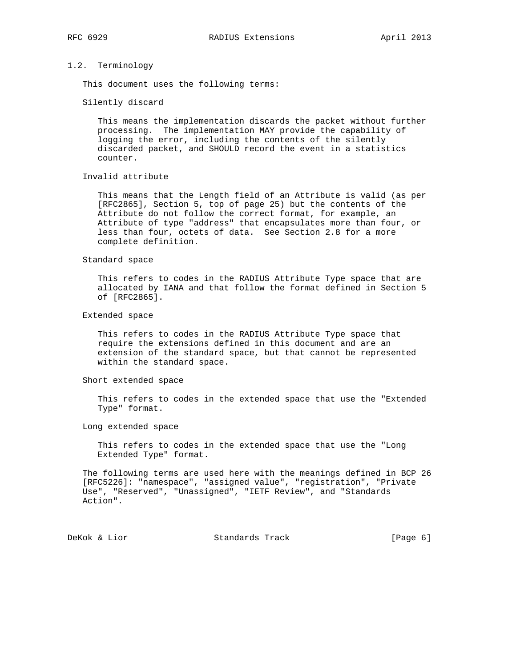## 1.2. Terminology

This document uses the following terms:

Silently discard

 This means the implementation discards the packet without further processing. The implementation MAY provide the capability of logging the error, including the contents of the silently discarded packet, and SHOULD record the event in a statistics counter.

# Invalid attribute

 This means that the Length field of an Attribute is valid (as per [RFC2865], Section 5, top of page 25) but the contents of the Attribute do not follow the correct format, for example, an Attribute of type "address" that encapsulates more than four, or less than four, octets of data. See Section 2.8 for a more complete definition.

## Standard space

 This refers to codes in the RADIUS Attribute Type space that are allocated by IANA and that follow the format defined in Section 5 of [RFC2865].

## Extended space

 This refers to codes in the RADIUS Attribute Type space that require the extensions defined in this document and are an extension of the standard space, but that cannot be represented within the standard space.

## Short extended space

 This refers to codes in the extended space that use the "Extended Type" format.

#### Long extended space

 This refers to codes in the extended space that use the "Long Extended Type" format.

 The following terms are used here with the meanings defined in BCP 26 [RFC5226]: "namespace", "assigned value", "registration", "Private Use", "Reserved", "Unassigned", "IETF Review", and "Standards Action".

DeKok & Lior **Standards Track** [Page 6]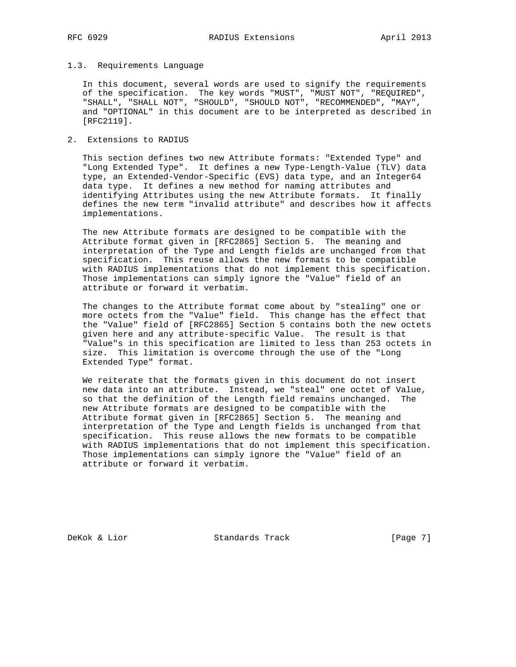## 1.3. Requirements Language

 In this document, several words are used to signify the requirements of the specification. The key words "MUST", "MUST NOT", "REQUIRED", "SHALL", "SHALL NOT", "SHOULD", "SHOULD NOT", "RECOMMENDED", "MAY", and "OPTIONAL" in this document are to be interpreted as described in [RFC2119].

2. Extensions to RADIUS

 This section defines two new Attribute formats: "Extended Type" and "Long Extended Type". It defines a new Type-Length-Value (TLV) data type, an Extended-Vendor-Specific (EVS) data type, and an Integer64 data type. It defines a new method for naming attributes and identifying Attributes using the new Attribute formats. It finally defines the new term "invalid attribute" and describes how it affects implementations.

 The new Attribute formats are designed to be compatible with the Attribute format given in [RFC2865] Section 5. The meaning and interpretation of the Type and Length fields are unchanged from that specification. This reuse allows the new formats to be compatible with RADIUS implementations that do not implement this specification. Those implementations can simply ignore the "Value" field of an attribute or forward it verbatim.

 The changes to the Attribute format come about by "stealing" one or more octets from the "Value" field. This change has the effect that the "Value" field of [RFC2865] Section 5 contains both the new octets given here and any attribute-specific Value. The result is that "Value"s in this specification are limited to less than 253 octets in size. This limitation is overcome through the use of the "Long Extended Type" format.

 We reiterate that the formats given in this document do not insert new data into an attribute. Instead, we "steal" one octet of Value, so that the definition of the Length field remains unchanged. The new Attribute formats are designed to be compatible with the Attribute format given in [RFC2865] Section 5. The meaning and interpretation of the Type and Length fields is unchanged from that specification. This reuse allows the new formats to be compatible with RADIUS implementations that do not implement this specification. Those implementations can simply ignore the "Value" field of an attribute or forward it verbatim.

DeKok & Lior Standards Track [Page 7]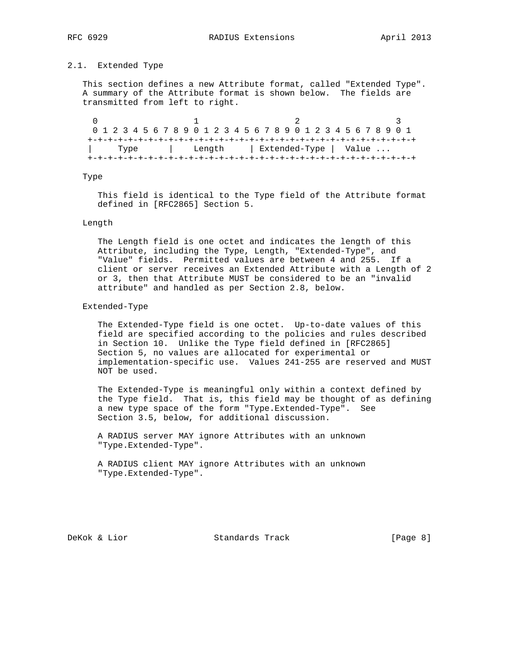# 2.1. Extended Type

 This section defines a new Attribute format, called "Extended Type". A summary of the Attribute format is shown below. The fields are transmitted from left to right.

 $0$  1 2 3 0 1 2 3 4 5 6 7 8 9 0 1 2 3 4 5 6 7 8 9 0 1 2 3 4 5 6 7 8 9 0 1 +-+-+-+-+-+-+-+-+-+-+-+-+-+-+-+-+-+-+-+-+-+-+-+-+-+-+-+-+-+-+-+-+ | Type | Length | Extended-Type | Value ... +-+-+-+-+-+-+-+-+-+-+-+-+-+-+-+-+-+-+-+-+-+-+-+-+-+-+-+-+-+-+-+-+

## Type

 This field is identical to the Type field of the Attribute format defined in [RFC2865] Section 5.

## Length

 The Length field is one octet and indicates the length of this Attribute, including the Type, Length, "Extended-Type", and "Value" fields. Permitted values are between 4 and 255. If a client or server receives an Extended Attribute with a Length of 2 or 3, then that Attribute MUST be considered to be an "invalid attribute" and handled as per Section 2.8, below.

### Extended-Type

 The Extended-Type field is one octet. Up-to-date values of this field are specified according to the policies and rules described in Section 10. Unlike the Type field defined in [RFC2865] Section 5, no values are allocated for experimental or implementation-specific use. Values 241-255 are reserved and MUST NOT be used.

 The Extended-Type is meaningful only within a context defined by the Type field. That is, this field may be thought of as defining a new type space of the form "Type.Extended-Type". See Section 3.5, below, for additional discussion.

 A RADIUS server MAY ignore Attributes with an unknown "Type.Extended-Type".

 A RADIUS client MAY ignore Attributes with an unknown "Type.Extended-Type".

DeKok & Lior Standards Track [Page 8]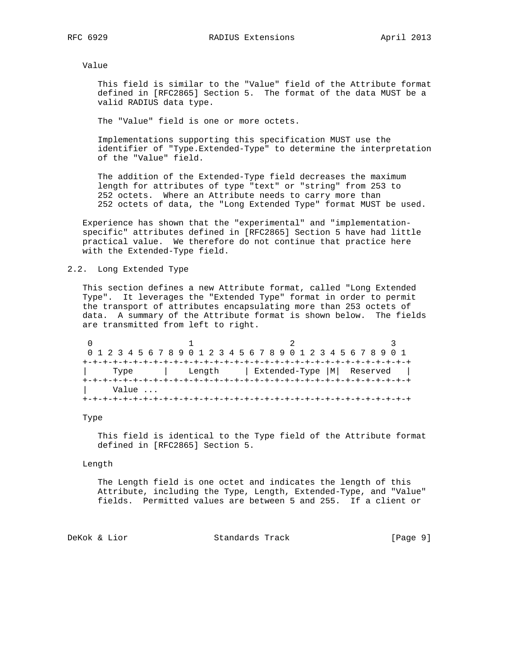Value

 This field is similar to the "Value" field of the Attribute format defined in [RFC2865] Section 5. The format of the data MUST be a valid RADIUS data type.

The "Value" field is one or more octets.

 Implementations supporting this specification MUST use the identifier of "Type.Extended-Type" to determine the interpretation of the "Value" field.

 The addition of the Extended-Type field decreases the maximum length for attributes of type "text" or "string" from 253 to 252 octets. Where an Attribute needs to carry more than 252 octets of data, the "Long Extended Type" format MUST be used.

 Experience has shown that the "experimental" and "implementation specific" attributes defined in [RFC2865] Section 5 have had little practical value. We therefore do not continue that practice here with the Extended-Type field.

## 2.2. Long Extended Type

 This section defines a new Attribute format, called "Long Extended Type". It leverages the "Extended Type" format in order to permit the transport of attributes encapsulating more than 253 octets of data. A summary of the Attribute format is shown below. The fields are transmitted from left to right.

|       | 0 1 2 3 4 5 6 7 8 9 0 1 2 3 4 5 6 7 8 9 0 1 2 3 4 5 6 7 8 9 0 1 |  |
|-------|-----------------------------------------------------------------|--|
|       |                                                                 |  |
| Type  | Length   Extended-Type  M  Reserved                             |  |
|       |                                                                 |  |
| Value |                                                                 |  |
|       |                                                                 |  |

## Type

 This field is identical to the Type field of the Attribute format defined in [RFC2865] Section 5.

## Length

 The Length field is one octet and indicates the length of this Attribute, including the Type, Length, Extended-Type, and "Value" fields. Permitted values are between 5 and 255. If a client or

DeKok & Lior Standards Track [Page 9]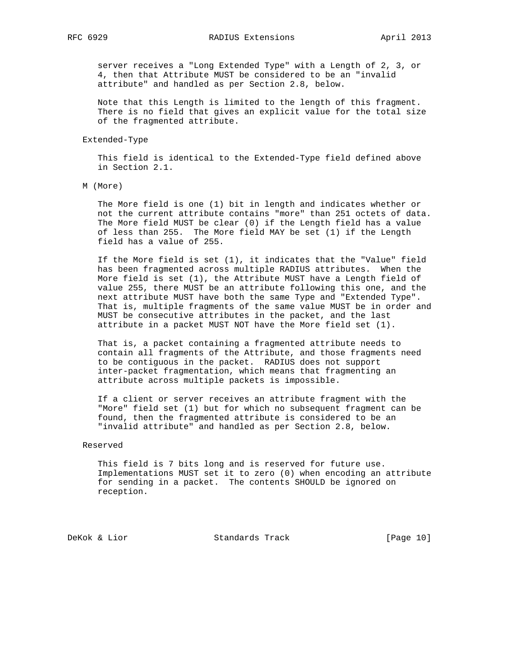server receives a "Long Extended Type" with a Length of 2, 3, or 4, then that Attribute MUST be considered to be an "invalid attribute" and handled as per Section 2.8, below.

 Note that this Length is limited to the length of this fragment. There is no field that gives an explicit value for the total size of the fragmented attribute.

#### Extended-Type

 This field is identical to the Extended-Type field defined above in Section 2.1.

M (More)

 The More field is one (1) bit in length and indicates whether or not the current attribute contains "more" than 251 octets of data. The More field MUST be clear (0) if the Length field has a value of less than 255. The More field MAY be set (1) if the Length field has a value of 255.

 If the More field is set (1), it indicates that the "Value" field has been fragmented across multiple RADIUS attributes. When the More field is set (1), the Attribute MUST have a Length field of value 255, there MUST be an attribute following this one, and the next attribute MUST have both the same Type and "Extended Type". That is, multiple fragments of the same value MUST be in order and MUST be consecutive attributes in the packet, and the last attribute in a packet MUST NOT have the More field set (1).

 That is, a packet containing a fragmented attribute needs to contain all fragments of the Attribute, and those fragments need to be contiguous in the packet. RADIUS does not support inter-packet fragmentation, which means that fragmenting an attribute across multiple packets is impossible.

 If a client or server receives an attribute fragment with the "More" field set (1) but for which no subsequent fragment can be found, then the fragmented attribute is considered to be an "invalid attribute" and handled as per Section 2.8, below.

## Reserved

 This field is 7 bits long and is reserved for future use. Implementations MUST set it to zero (0) when encoding an attribute for sending in a packet. The contents SHOULD be ignored on reception.

DeKok & Lior Standards Track [Page 10]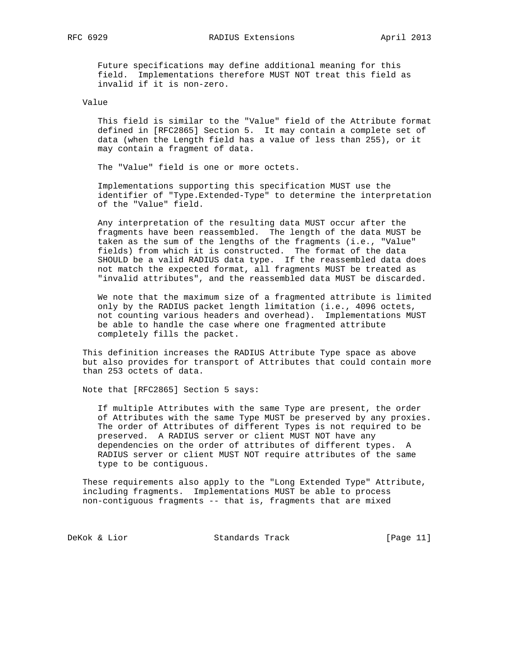RFC 6929 RADIUS Extensions April 2013

 Future specifications may define additional meaning for this field. Implementations therefore MUST NOT treat this field as invalid if it is non-zero.

## Value

 This field is similar to the "Value" field of the Attribute format defined in [RFC2865] Section 5. It may contain a complete set of data (when the Length field has a value of less than 255), or it may contain a fragment of data.

The "Value" field is one or more octets.

 Implementations supporting this specification MUST use the identifier of "Type.Extended-Type" to determine the interpretation of the "Value" field.

 Any interpretation of the resulting data MUST occur after the fragments have been reassembled. The length of the data MUST be taken as the sum of the lengths of the fragments (i.e., "Value" fields) from which it is constructed. The format of the data SHOULD be a valid RADIUS data type. If the reassembled data does not match the expected format, all fragments MUST be treated as "invalid attributes", and the reassembled data MUST be discarded.

 We note that the maximum size of a fragmented attribute is limited only by the RADIUS packet length limitation (i.e., 4096 octets, not counting various headers and overhead). Implementations MUST be able to handle the case where one fragmented attribute completely fills the packet.

 This definition increases the RADIUS Attribute Type space as above but also provides for transport of Attributes that could contain more than 253 octets of data.

Note that [RFC2865] Section 5 says:

 If multiple Attributes with the same Type are present, the order of Attributes with the same Type MUST be preserved by any proxies. The order of Attributes of different Types is not required to be preserved. A RADIUS server or client MUST NOT have any dependencies on the order of attributes of different types. A RADIUS server or client MUST NOT require attributes of the same type to be contiguous.

 These requirements also apply to the "Long Extended Type" Attribute, including fragments. Implementations MUST be able to process non-contiguous fragments -- that is, fragments that are mixed

DeKok & Lior Standards Track [Page 11]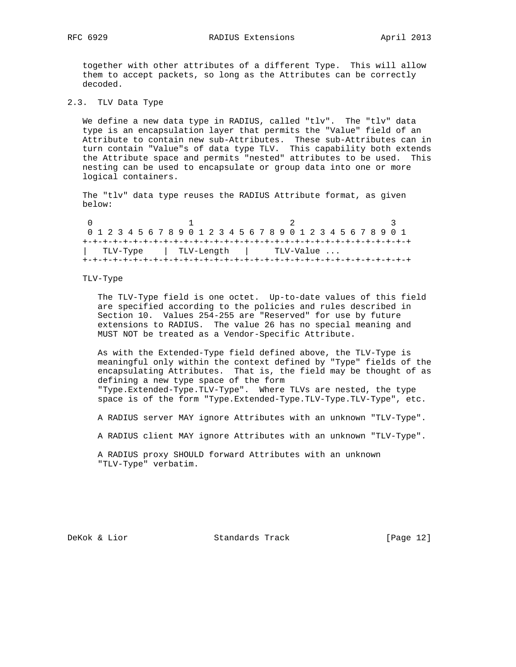together with other attributes of a different Type. This will allow them to accept packets, so long as the Attributes can be correctly decoded.

# 2.3. TLV Data Type

We define a new data type in RADIUS, called "tlv". The "tlv" data type is an encapsulation layer that permits the "Value" field of an Attribute to contain new sub-Attributes. These sub-Attributes can in turn contain "Value"s of data type TLV. This capability both extends the Attribute space and permits "nested" attributes to be used. This nesting can be used to encapsulate or group data into one or more logical containers.

 The "tlv" data type reuses the RADIUS Attribute format, as given below:

| 0 1 2 3 4 5 6 7 8 9 0 1 2 3 4 5 6 7 8 9 0 1 2 3 4 5 6 7 8 9 0 1 |  |  |  |            |  |  |  |  |  |           |  |  |  |  |  |
|-----------------------------------------------------------------|--|--|--|------------|--|--|--|--|--|-----------|--|--|--|--|--|
|                                                                 |  |  |  |            |  |  |  |  |  |           |  |  |  |  |  |
| TLV-Type <sup>'</sup>                                           |  |  |  | TLV-Length |  |  |  |  |  | TLV-Value |  |  |  |  |  |
|                                                                 |  |  |  |            |  |  |  |  |  |           |  |  |  |  |  |

## TLV-Type

 The TLV-Type field is one octet. Up-to-date values of this field are specified according to the policies and rules described in Section 10. Values 254-255 are "Reserved" for use by future extensions to RADIUS. The value 26 has no special meaning and MUST NOT be treated as a Vendor-Specific Attribute.

 As with the Extended-Type field defined above, the TLV-Type is meaningful only within the context defined by "Type" fields of the encapsulating Attributes. That is, the field may be thought of as defining a new type space of the form "Type.Extended-Type.TLV-Type". Where TLVs are nested, the type space is of the form "Type.Extended-Type.TLV-Type.TLV-Type", etc.

A RADIUS server MAY ignore Attributes with an unknown "TLV-Type".

A RADIUS client MAY ignore Attributes with an unknown "TLV-Type".

 A RADIUS proxy SHOULD forward Attributes with an unknown "TLV-Type" verbatim.

DeKok & Lior Standards Track [Page 12]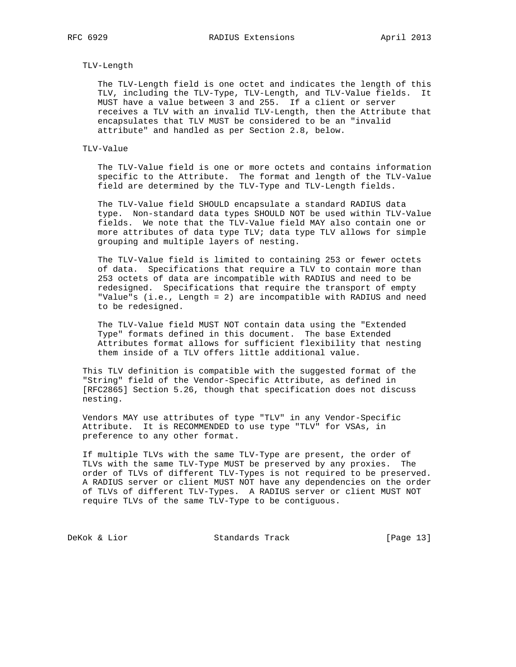## TLV-Length

 The TLV-Length field is one octet and indicates the length of this TLV, including the TLV-Type, TLV-Length, and TLV-Value fields. It MUST have a value between 3 and 255. If a client or server receives a TLV with an invalid TLV-Length, then the Attribute that encapsulates that TLV MUST be considered to be an "invalid attribute" and handled as per Section 2.8, below.

## TLV-Value

 The TLV-Value field is one or more octets and contains information specific to the Attribute. The format and length of the TLV-Value field are determined by the TLV-Type and TLV-Length fields.

 The TLV-Value field SHOULD encapsulate a standard RADIUS data type. Non-standard data types SHOULD NOT be used within TLV-Value fields. We note that the TLV-Value field MAY also contain one or more attributes of data type TLV; data type TLV allows for simple grouping and multiple layers of nesting.

 The TLV-Value field is limited to containing 253 or fewer octets of data. Specifications that require a TLV to contain more than 253 octets of data are incompatible with RADIUS and need to be redesigned. Specifications that require the transport of empty "Value"s (i.e., Length = 2) are incompatible with RADIUS and need to be redesigned.

 The TLV-Value field MUST NOT contain data using the "Extended Type" formats defined in this document. The base Extended Attributes format allows for sufficient flexibility that nesting them inside of a TLV offers little additional value.

 This TLV definition is compatible with the suggested format of the "String" field of the Vendor-Specific Attribute, as defined in [RFC2865] Section 5.26, though that specification does not discuss nesting.

 Vendors MAY use attributes of type "TLV" in any Vendor-Specific Attribute. It is RECOMMENDED to use type "TLV" for VSAs, in preference to any other format.

 If multiple TLVs with the same TLV-Type are present, the order of TLVs with the same TLV-Type MUST be preserved by any proxies. The order of TLVs of different TLV-Types is not required to be preserved. A RADIUS server or client MUST NOT have any dependencies on the order of TLVs of different TLV-Types. A RADIUS server or client MUST NOT require TLVs of the same TLV-Type to be contiguous.

DeKok & Lior Standards Track [Page 13]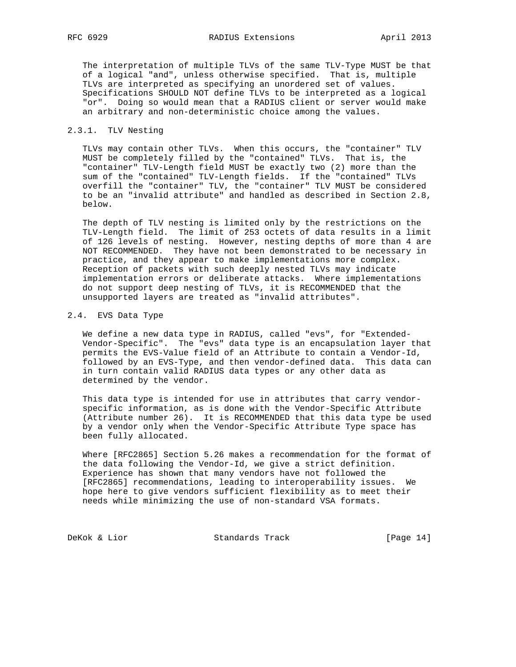The interpretation of multiple TLVs of the same TLV-Type MUST be that of a logical "and", unless otherwise specified. That is, multiple TLVs are interpreted as specifying an unordered set of values. Specifications SHOULD NOT define TLVs to be interpreted as a logical "or". Doing so would mean that a RADIUS client or server would make an arbitrary and non-deterministic choice among the values.

## 2.3.1. TLV Nesting

 TLVs may contain other TLVs. When this occurs, the "container" TLV MUST be completely filled by the "contained" TLVs. That is, the "container" TLV-Length field MUST be exactly two (2) more than the sum of the "contained" TLV-Length fields. If the "contained" TLVs overfill the "container" TLV, the "container" TLV MUST be considered to be an "invalid attribute" and handled as described in Section 2.8, below.

 The depth of TLV nesting is limited only by the restrictions on the TLV-Length field. The limit of 253 octets of data results in a limit of 126 levels of nesting. However, nesting depths of more than 4 are NOT RECOMMENDED. They have not been demonstrated to be necessary in practice, and they appear to make implementations more complex. Reception of packets with such deeply nested TLVs may indicate implementation errors or deliberate attacks. Where implementations do not support deep nesting of TLVs, it is RECOMMENDED that the unsupported layers are treated as "invalid attributes".

## 2.4. EVS Data Type

 We define a new data type in RADIUS, called "evs", for "Extended- Vendor-Specific". The "evs" data type is an encapsulation layer that permits the EVS-Value field of an Attribute to contain a Vendor-Id, followed by an EVS-Type, and then vendor-defined data. This data can in turn contain valid RADIUS data types or any other data as determined by the vendor.

 This data type is intended for use in attributes that carry vendor specific information, as is done with the Vendor-Specific Attribute (Attribute number 26). It is RECOMMENDED that this data type be used by a vendor only when the Vendor-Specific Attribute Type space has been fully allocated.

 Where [RFC2865] Section 5.26 makes a recommendation for the format of the data following the Vendor-Id, we give a strict definition. Experience has shown that many vendors have not followed the [RFC2865] recommendations, leading to interoperability issues. We hope here to give vendors sufficient flexibility as to meet their needs while minimizing the use of non-standard VSA formats.

DeKok & Lior Standards Track [Page 14]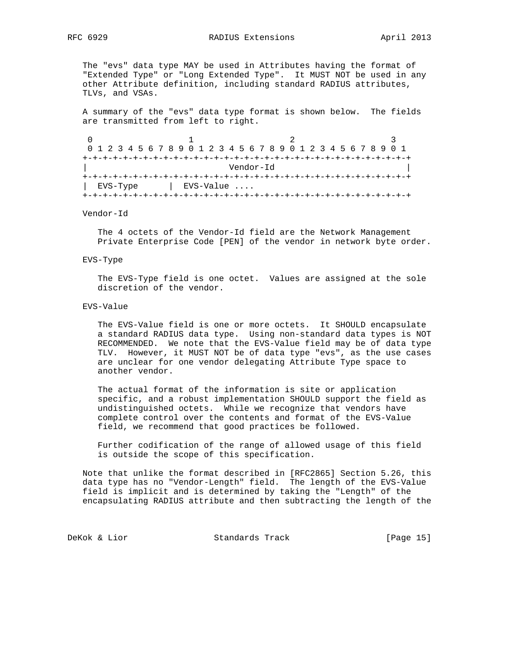The "evs" data type MAY be used in Attributes having the format of "Extended Type" or "Long Extended Type". It MUST NOT be used in any other Attribute definition, including standard RADIUS attributes, TLVs, and VSAs.

 A summary of the "evs" data type format is shown below. The fields are transmitted from left to right.

| 0 1 2 3 4 5 6 7 8 9 0 1 2 3 4 5 6 7 8 9 0 1 2 3 4 5 6 7 8 9 0 1 |          |  |  |  |  |             |  |           |  |  |  |  |  |  |  |  |
|-----------------------------------------------------------------|----------|--|--|--|--|-------------|--|-----------|--|--|--|--|--|--|--|--|
|                                                                 |          |  |  |  |  |             |  |           |  |  |  |  |  |  |  |  |
|                                                                 |          |  |  |  |  |             |  | Vendor-Id |  |  |  |  |  |  |  |  |
|                                                                 |          |  |  |  |  |             |  |           |  |  |  |  |  |  |  |  |
|                                                                 | EVS-Type |  |  |  |  | $EVS-Value$ |  |           |  |  |  |  |  |  |  |  |
|                                                                 |          |  |  |  |  |             |  |           |  |  |  |  |  |  |  |  |

## Vendor-Id

 The 4 octets of the Vendor-Id field are the Network Management Private Enterprise Code [PEN] of the vendor in network byte order.

#### EVS-Type

 The EVS-Type field is one octet. Values are assigned at the sole discretion of the vendor.

### EVS-Value

 The EVS-Value field is one or more octets. It SHOULD encapsulate a standard RADIUS data type. Using non-standard data types is NOT RECOMMENDED. We note that the EVS-Value field may be of data type TLV. However, it MUST NOT be of data type "evs", as the use cases are unclear for one vendor delegating Attribute Type space to another vendor.

 The actual format of the information is site or application specific, and a robust implementation SHOULD support the field as undistinguished octets. While we recognize that vendors have complete control over the contents and format of the EVS-Value field, we recommend that good practices be followed.

 Further codification of the range of allowed usage of this field is outside the scope of this specification.

 Note that unlike the format described in [RFC2865] Section 5.26, this data type has no "Vendor-Length" field. The length of the EVS-Value field is implicit and is determined by taking the "Length" of the encapsulating RADIUS attribute and then subtracting the length of the

DeKok & Lior Standards Track [Page 15]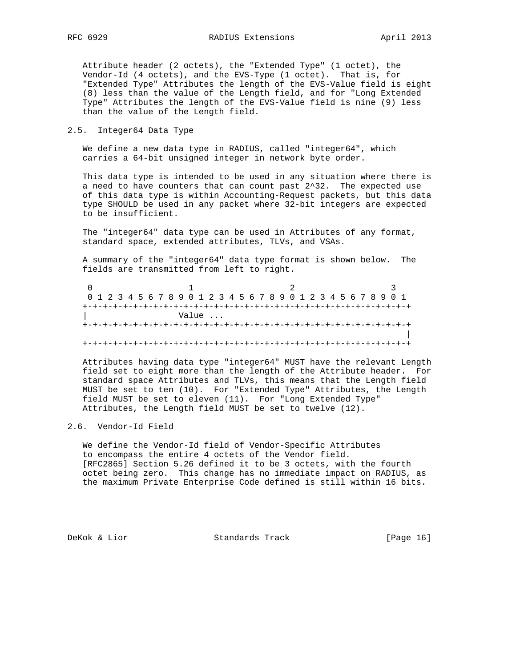Attribute header (2 octets), the "Extended Type" (1 octet), the Vendor-Id (4 octets), and the EVS-Type (1 octet). That is, for "Extended Type" Attributes the length of the EVS-Value field is eight (8) less than the value of the Length field, and for "Long Extended Type" Attributes the length of the EVS-Value field is nine (9) less than the value of the Length field.

## 2.5. Integer64 Data Type

 We define a new data type in RADIUS, called "integer64", which carries a 64-bit unsigned integer in network byte order.

 This data type is intended to be used in any situation where there is a need to have counters that can count past 2^32. The expected use of this data type is within Accounting-Request packets, but this data type SHOULD be used in any packet where 32-bit integers are expected to be insufficient.

 The "integer64" data type can be used in Attributes of any format, standard space, extended attributes, TLVs, and VSAs.

 A summary of the "integer64" data type format is shown below. The fields are transmitted from left to right.

| 0 1 2 3 4 5 6 7 8 9 0 1 2 3 4 5 6 7 8 9 0 1 2 3 4 5 6 7 8 9 0 1 |  |  |  |  |  |       |  |  |  |                             |  |  |  |  |  |  |
|-----------------------------------------------------------------|--|--|--|--|--|-------|--|--|--|-----------------------------|--|--|--|--|--|--|
|                                                                 |  |  |  |  |  |       |  |  |  |                             |  |  |  |  |  |  |
|                                                                 |  |  |  |  |  | Value |  |  |  |                             |  |  |  |  |  |  |
|                                                                 |  |  |  |  |  |       |  |  |  |                             |  |  |  |  |  |  |
|                                                                 |  |  |  |  |  |       |  |  |  |                             |  |  |  |  |  |  |
|                                                                 |  |  |  |  |  |       |  |  |  | -+-+-+-+-+-+-+-+-+-+-+-+-+- |  |  |  |  |  |  |

 Attributes having data type "integer64" MUST have the relevant Length field set to eight more than the length of the Attribute header. For standard space Attributes and TLVs, this means that the Length field MUST be set to ten (10). For "Extended Type" Attributes, the Length field MUST be set to eleven (11). For "Long Extended Type" Attributes, the Length field MUST be set to twelve (12).

## 2.6. Vendor-Id Field

 We define the Vendor-Id field of Vendor-Specific Attributes to encompass the entire 4 octets of the Vendor field. [RFC2865] Section 5.26 defined it to be 3 octets, with the fourth octet being zero. This change has no immediate impact on RADIUS, as the maximum Private Enterprise Code defined is still within 16 bits.

DeKok & Lior Standards Track [Page 16]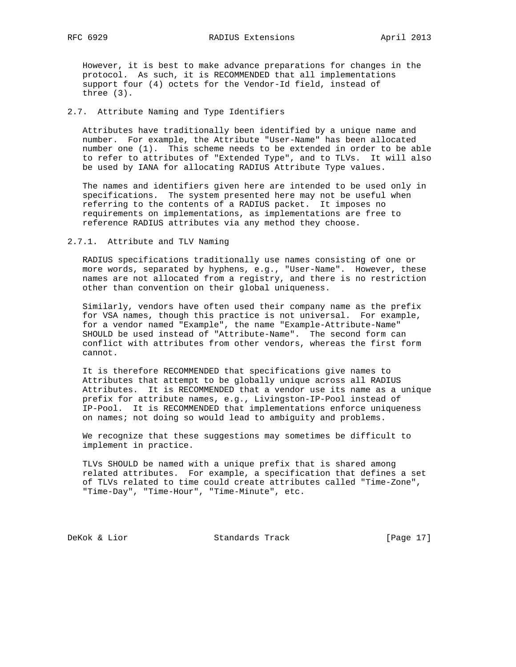However, it is best to make advance preparations for changes in the protocol. As such, it is RECOMMENDED that all implementations support four (4) octets for the Vendor-Id field, instead of three (3).

## 2.7. Attribute Naming and Type Identifiers

 Attributes have traditionally been identified by a unique name and number. For example, the Attribute "User-Name" has been allocated number one (1). This scheme needs to be extended in order to be able to refer to attributes of "Extended Type", and to TLVs. It will also be used by IANA for allocating RADIUS Attribute Type values.

 The names and identifiers given here are intended to be used only in specifications. The system presented here may not be useful when referring to the contents of a RADIUS packet. It imposes no requirements on implementations, as implementations are free to reference RADIUS attributes via any method they choose.

#### 2.7.1. Attribute and TLV Naming

 RADIUS specifications traditionally use names consisting of one or more words, separated by hyphens, e.g., "User-Name". However, these names are not allocated from a registry, and there is no restriction other than convention on their global uniqueness.

 Similarly, vendors have often used their company name as the prefix for VSA names, though this practice is not universal. For example, for a vendor named "Example", the name "Example-Attribute-Name" SHOULD be used instead of "Attribute-Name". The second form can conflict with attributes from other vendors, whereas the first form cannot.

 It is therefore RECOMMENDED that specifications give names to Attributes that attempt to be globally unique across all RADIUS Attributes. It is RECOMMENDED that a vendor use its name as a unique prefix for attribute names, e.g., Livingston-IP-Pool instead of IP-Pool. It is RECOMMENDED that implementations enforce uniqueness on names; not doing so would lead to ambiguity and problems.

 We recognize that these suggestions may sometimes be difficult to implement in practice.

 TLVs SHOULD be named with a unique prefix that is shared among related attributes. For example, a specification that defines a set of TLVs related to time could create attributes called "Time-Zone", "Time-Day", "Time-Hour", "Time-Minute", etc.

DeKok & Lior Standards Track [Page 17]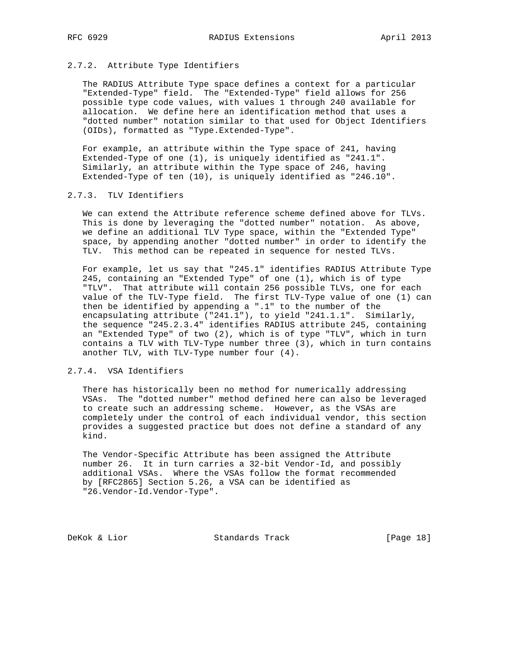## 2.7.2. Attribute Type Identifiers

 The RADIUS Attribute Type space defines a context for a particular "Extended-Type" field. The "Extended-Type" field allows for 256 possible type code values, with values 1 through 240 available for allocation. We define here an identification method that uses a "dotted number" notation similar to that used for Object Identifiers (OIDs), formatted as "Type.Extended-Type".

 For example, an attribute within the Type space of 241, having Extended-Type of one (1), is uniquely identified as "241.1". Similarly, an attribute within the Type space of 246, having Extended-Type of ten (10), is uniquely identified as "246.10".

## 2.7.3. TLV Identifiers

 We can extend the Attribute reference scheme defined above for TLVs. This is done by leveraging the "dotted number" notation. As above, we define an additional TLV Type space, within the "Extended Type" space, by appending another "dotted number" in order to identify the TLV. This method can be repeated in sequence for nested TLVs.

 For example, let us say that "245.1" identifies RADIUS Attribute Type 245, containing an "Extended Type" of one (1), which is of type "TLV". That attribute will contain 256 possible TLVs, one for each value of the TLV-Type field. The first TLV-Type value of one (1) can then be identified by appending a ".1" to the number of the encapsulating attribute ("241.1"), to yield "241.1.1". Similarly, the sequence "245.2.3.4" identifies RADIUS attribute 245, containing an "Extended Type" of two (2), which is of type "TLV", which in turn contains a TLV with TLV-Type number three (3), which in turn contains another TLV, with TLV-Type number four (4).

# 2.7.4. VSA Identifiers

 There has historically been no method for numerically addressing VSAs. The "dotted number" method defined here can also be leveraged to create such an addressing scheme. However, as the VSAs are completely under the control of each individual vendor, this section provides a suggested practice but does not define a standard of any kind.

 The Vendor-Specific Attribute has been assigned the Attribute number 26. It in turn carries a 32-bit Vendor-Id, and possibly additional VSAs. Where the VSAs follow the format recommended by [RFC2865] Section 5.26, a VSA can be identified as "26.Vendor-Id.Vendor-Type".

DeKok & Lior Standards Track [Page 18]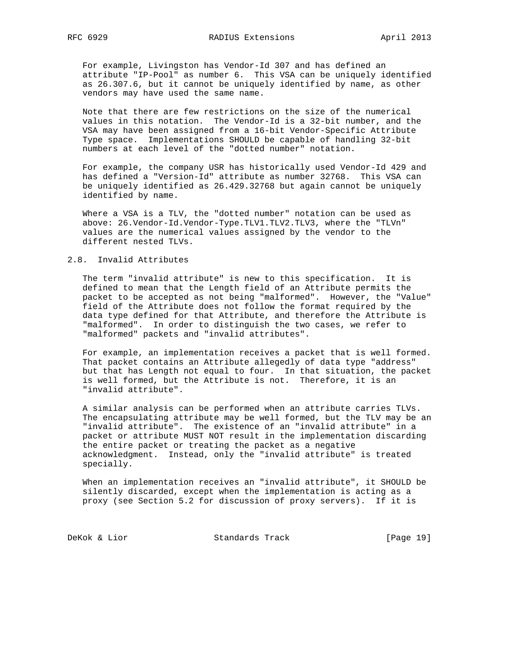For example, Livingston has Vendor-Id 307 and has defined an attribute "IP-Pool" as number 6. This VSA can be uniquely identified as 26.307.6, but it cannot be uniquely identified by name, as other vendors may have used the same name.

 Note that there are few restrictions on the size of the numerical values in this notation. The Vendor-Id is a 32-bit number, and the VSA may have been assigned from a 16-bit Vendor-Specific Attribute Type space. Implementations SHOULD be capable of handling 32-bit numbers at each level of the "dotted number" notation.

 For example, the company USR has historically used Vendor-Id 429 and has defined a "Version-Id" attribute as number 32768. This VSA can be uniquely identified as 26.429.32768 but again cannot be uniquely identified by name.

 Where a VSA is a TLV, the "dotted number" notation can be used as above: 26.Vendor-Id.Vendor-Type.TLV1.TLV2.TLV3, where the "TLVn" values are the numerical values assigned by the vendor to the different nested TLVs.

## 2.8. Invalid Attributes

 The term "invalid attribute" is new to this specification. It is defined to mean that the Length field of an Attribute permits the packet to be accepted as not being "malformed". However, the "Value" field of the Attribute does not follow the format required by the data type defined for that Attribute, and therefore the Attribute is "malformed". In order to distinguish the two cases, we refer to "malformed" packets and "invalid attributes".

 For example, an implementation receives a packet that is well formed. That packet contains an Attribute allegedly of data type "address" but that has Length not equal to four. In that situation, the packet is well formed, but the Attribute is not. Therefore, it is an "invalid attribute".

 A similar analysis can be performed when an attribute carries TLVs. The encapsulating attribute may be well formed, but the TLV may be an "invalid attribute". The existence of an "invalid attribute" in a packet or attribute MUST NOT result in the implementation discarding the entire packet or treating the packet as a negative acknowledgment. Instead, only the "invalid attribute" is treated specially.

 When an implementation receives an "invalid attribute", it SHOULD be silently discarded, except when the implementation is acting as a proxy (see Section 5.2 for discussion of proxy servers). If it is

DeKok & Lior Standards Track [Page 19]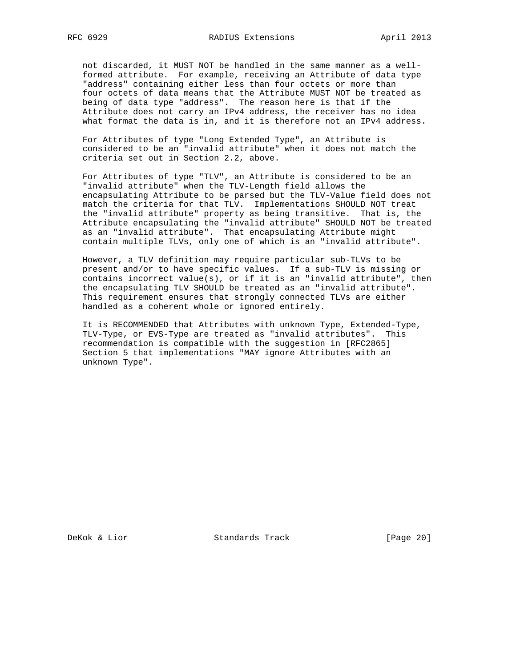not discarded, it MUST NOT be handled in the same manner as a well formed attribute. For example, receiving an Attribute of data type "address" containing either less than four octets or more than four octets of data means that the Attribute MUST NOT be treated as being of data type "address". The reason here is that if the Attribute does not carry an IPv4 address, the receiver has no idea what format the data is in, and it is therefore not an IPv4 address.

 For Attributes of type "Long Extended Type", an Attribute is considered to be an "invalid attribute" when it does not match the criteria set out in Section 2.2, above.

 For Attributes of type "TLV", an Attribute is considered to be an "invalid attribute" when the TLV-Length field allows the encapsulating Attribute to be parsed but the TLV-Value field does not match the criteria for that TLV. Implementations SHOULD NOT treat the "invalid attribute" property as being transitive. That is, the Attribute encapsulating the "invalid attribute" SHOULD NOT be treated as an "invalid attribute". That encapsulating Attribute might contain multiple TLVs, only one of which is an "invalid attribute".

 However, a TLV definition may require particular sub-TLVs to be present and/or to have specific values. If a sub-TLV is missing or contains incorrect value(s), or if it is an "invalid attribute", then the encapsulating TLV SHOULD be treated as an "invalid attribute". This requirement ensures that strongly connected TLVs are either handled as a coherent whole or ignored entirely.

 It is RECOMMENDED that Attributes with unknown Type, Extended-Type, TLV-Type, or EVS-Type are treated as "invalid attributes". This recommendation is compatible with the suggestion in [RFC2865] Section 5 that implementations "MAY ignore Attributes with an unknown Type".

DeKok & Lior Standards Track [Page 20]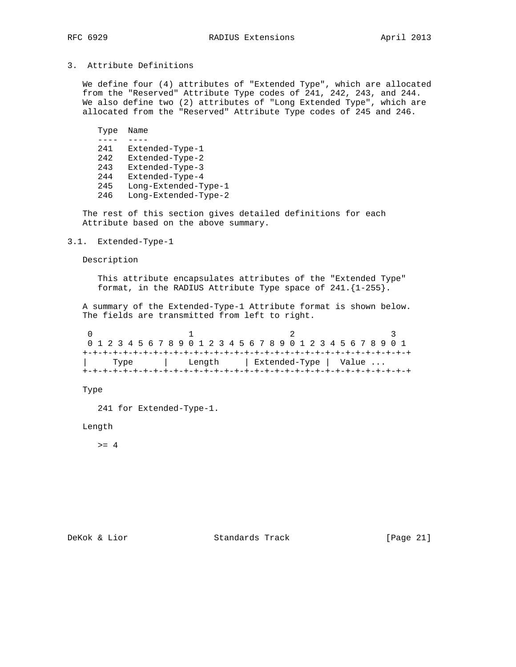# 3. Attribute Definitions

 We define four (4) attributes of "Extended Type", which are allocated from the "Reserved" Attribute Type codes of 241, 242, 243, and 244. We also define two (2) attributes of "Long Extended Type", which are allocated from the "Reserved" Attribute Type codes of 245 and 246.

```
 Type Name
      ---- ----
      241 Extended-Type-1
      242 Extended-Type-2
      243 Extended-Type-3
      244 Extended-Type-4
 245 Long-Extended-Type-1
 246 Long-Extended-Type-2
```
 The rest of this section gives detailed definitions for each Attribute based on the above summary.

# 3.1. Extended-Type-1

Description

 This attribute encapsulates attributes of the "Extended Type" format, in the RADIUS Attribute Type space of 241.{1-255}.

 A summary of the Extended-Type-1 Attribute format is shown below. The fields are transmitted from left to right.

| 0 1 2 3 4 5 6 7 8 9 0 1 2 3 4 5 6 7 8 9 0 1 2 3 4 5 6 7 8 9 0 1 |      |  |  |  |  |        |  |  |  |  |                       |  |  |  |  |  |
|-----------------------------------------------------------------|------|--|--|--|--|--------|--|--|--|--|-----------------------|--|--|--|--|--|
|                                                                 |      |  |  |  |  |        |  |  |  |  |                       |  |  |  |  |  |
|                                                                 | Type |  |  |  |  | Length |  |  |  |  | Extended-Type   Value |  |  |  |  |  |
|                                                                 |      |  |  |  |  |        |  |  |  |  |                       |  |  |  |  |  |

Type

241 for Extended-Type-1.

Length

 $>= 4$ 

DeKok & Lior Standards Track [Page 21]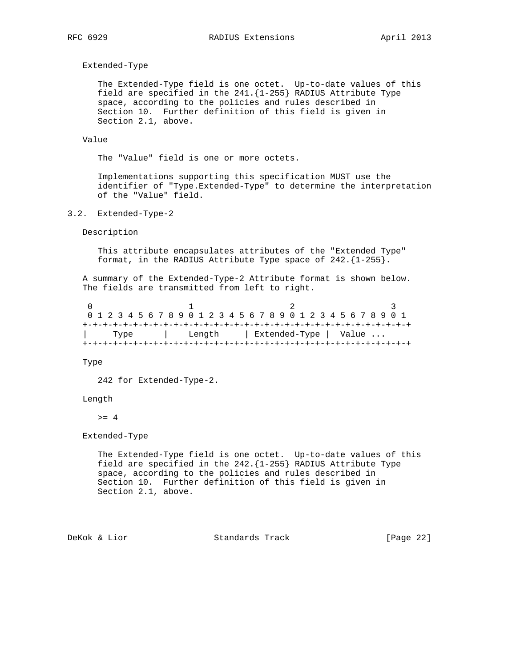Extended-Type

 The Extended-Type field is one octet. Up-to-date values of this field are specified in the 241.{1-255} RADIUS Attribute Type space, according to the policies and rules described in Section 10. Further definition of this field is given in Section 2.1, above.

### Value

The "Value" field is one or more octets.

 Implementations supporting this specification MUST use the identifier of "Type.Extended-Type" to determine the interpretation of the "Value" field.

3.2. Extended-Type-2

Description

 This attribute encapsulates attributes of the "Extended Type" format, in the RADIUS Attribute Type space of 242.{1-255}.

 A summary of the Extended-Type-2 Attribute format is shown below. The fields are transmitted from left to right.

|  |      |  |  |  |        |  |  |  |  |  |  |  |  |                       | 0 1 2 3 4 5 6 7 8 9 0 1 2 3 4 5 6 7 8 9 0 1 2 3 4 5 6 7 8 9 0 1 |  |
|--|------|--|--|--|--------|--|--|--|--|--|--|--|--|-----------------------|-----------------------------------------------------------------|--|
|  |      |  |  |  |        |  |  |  |  |  |  |  |  |                       |                                                                 |  |
|  | Type |  |  |  | Length |  |  |  |  |  |  |  |  | Extended-Type   Value |                                                                 |  |
|  |      |  |  |  |        |  |  |  |  |  |  |  |  |                       |                                                                 |  |

Type

242 for Extended-Type-2.

## Length

 $>= 4$ 

Extended-Type

 The Extended-Type field is one octet. Up-to-date values of this field are specified in the 242.{1-255} RADIUS Attribute Type space, according to the policies and rules described in Section 10. Further definition of this field is given in Section 2.1, above.

DeKok & Lior Standards Track [Page 22]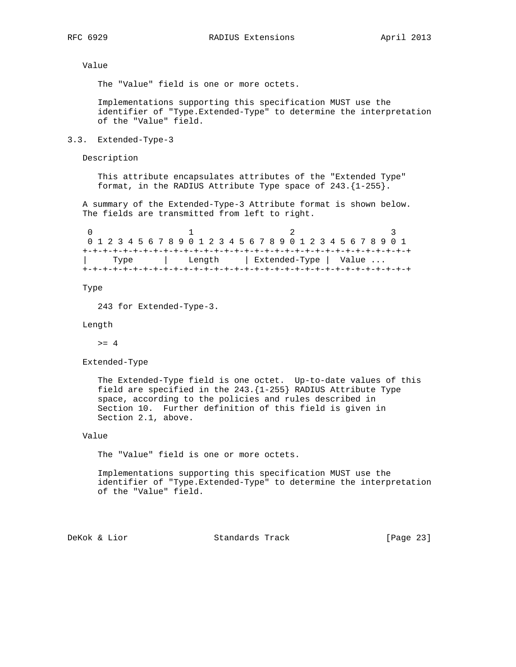Value

The "Value" field is one or more octets.

 Implementations supporting this specification MUST use the identifier of "Type.Extended-Type" to determine the interpretation of the "Value" field.

3.3. Extended-Type-3

Description

 This attribute encapsulates attributes of the "Extended Type" format, in the RADIUS Attribute Type space of 243.{1-255}.

 A summary of the Extended-Type-3 Attribute format is shown below. The fields are transmitted from left to right.

| 0 1 2 3 4 5 6 7 8 9 0 1 2 3 4 5 6 7 8 9 0 1 2 3 4 5 6 7 8 9 0 1 |      |  |  |  |        |  |  |  |  |                       |  |  |  |  |  |
|-----------------------------------------------------------------|------|--|--|--|--------|--|--|--|--|-----------------------|--|--|--|--|--|
|                                                                 |      |  |  |  |        |  |  |  |  |                       |  |  |  |  |  |
|                                                                 | Type |  |  |  | Length |  |  |  |  | Extended-Type   Value |  |  |  |  |  |
|                                                                 |      |  |  |  |        |  |  |  |  |                       |  |  |  |  |  |

Type

243 for Extended-Type-3.

Length

 $>= 4$ 

Extended-Type

 The Extended-Type field is one octet. Up-to-date values of this field are specified in the 243.{1-255} RADIUS Attribute Type space, according to the policies and rules described in Section 10. Further definition of this field is given in Section 2.1, above.

# Value

The "Value" field is one or more octets.

 Implementations supporting this specification MUST use the identifier of "Type.Extended-Type" to determine the interpretation of the "Value" field.

DeKok & Lior Standards Track [Page 23]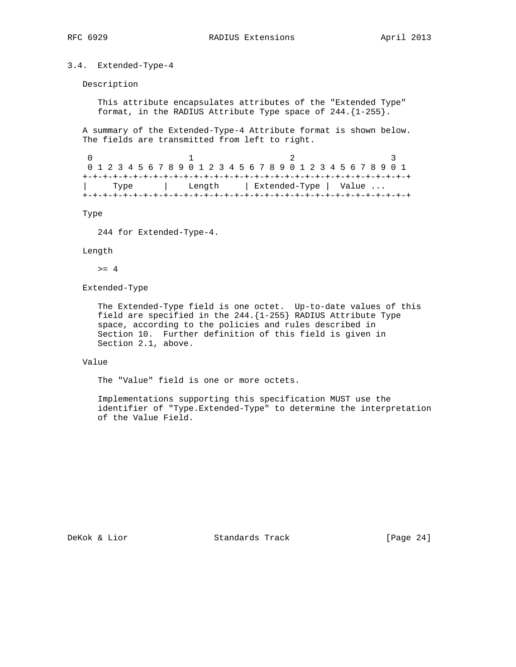# 3.4. Extended-Type-4

Description

 This attribute encapsulates attributes of the "Extended Type" format, in the RADIUS Attribute Type space of 244.{1-255}.

 A summary of the Extended-Type-4 Attribute format is shown below. The fields are transmitted from left to right.

| 0 1 2 3 4 5 6 7 8 9 0 1 2 3 4 5 6 7 8 9 0 1 2 3 4 5 6 7 8 9 0 1 |      |  |  |  |  |  |  |  |  |  |  |  |  |  |  |
|-----------------------------------------------------------------|------|--|--|--|--|--|--|--|--|--|--|--|--|--|--|
|                                                                 |      |  |  |  |  |  |  |  |  |  |  |  |  |  |  |
|                                                                 | Type |  |  |  |  |  |  |  |  |  |  |  |  |  |  |
|                                                                 |      |  |  |  |  |  |  |  |  |  |  |  |  |  |  |

Type

244 for Extended-Type-4.

#### Length

 $>= 4$ 

Extended-Type

 The Extended-Type field is one octet. Up-to-date values of this field are specified in the 244.{1-255} RADIUS Attribute Type space, according to the policies and rules described in Section 10. Further definition of this field is given in Section 2.1, above.

## Value

The "Value" field is one or more octets.

 Implementations supporting this specification MUST use the identifier of "Type.Extended-Type" to determine the interpretation of the Value Field.

DeKok & Lior Standards Track [Page 24]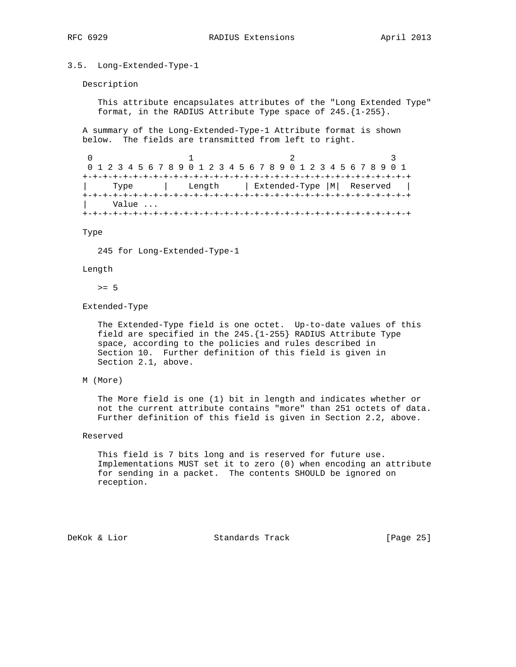## 3.5. Long-Extended-Type-1

#### Description

 This attribute encapsulates attributes of the "Long Extended Type" format, in the RADIUS Attribute Type space of 245.{1-255}.

 A summary of the Long-Extended-Type-1 Attribute format is shown below. The fields are transmitted from left to right.

0  $1$  2 3 0 1 2 3 4 5 6 7 8 9 0 1 2 3 4 5 6 7 8 9 0 1 2 3 4 5 6 7 8 9 0 1 +-+-+-+-+-+-+-+-+-+-+-+-+-+-+-+-+-+-+-+-+-+-+-+-+-+-+-+-+-+-+-+-+ | Type | Length | Extended-Type |M| Reserved | +-+-+-+-+-+-+-+-+-+-+-+-+-+-+-+-+-+-+-+-+-+-+-+-+-+-+-+-+-+-+-+-+ | Value ... +-+-+-+-+-+-+-+-+-+-+-+-+-+-+-+-+-+-+-+-+-+-+-+-+-+-+-+-+-+-+-+-+

#### Type

245 for Long-Extended-Type-1

## Length

>= 5

#### Extended-Type

 The Extended-Type field is one octet. Up-to-date values of this field are specified in the 245.{1-255} RADIUS Attribute Type space, according to the policies and rules described in Section 10. Further definition of this field is given in Section 2.1, above.

## M (More)

 The More field is one (1) bit in length and indicates whether or not the current attribute contains "more" than 251 octets of data. Further definition of this field is given in Section 2.2, above.

## Reserved

 This field is 7 bits long and is reserved for future use. Implementations MUST set it to zero (0) when encoding an attribute for sending in a packet. The contents SHOULD be ignored on reception.

DeKok & Lior Standards Track [Page 25]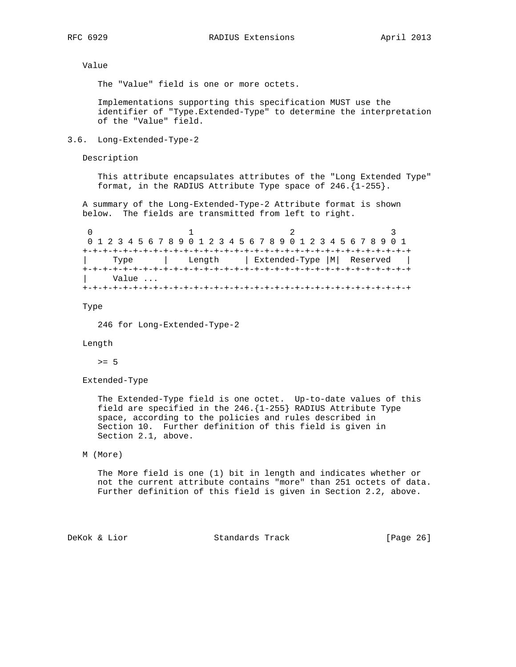Value

The "Value" field is one or more octets.

 Implementations supporting this specification MUST use the identifier of "Type.Extended-Type" to determine the interpretation of the "Value" field.

## 3.6. Long-Extended-Type-2

Description

 This attribute encapsulates attributes of the "Long Extended Type" format, in the RADIUS Attribute Type space of 246.{1-255}.

 A summary of the Long-Extended-Type-2 Attribute format is shown below. The fields are transmitted from left to right.

|       |  | 0 1 2 3 4 5 6 7 8 9 0 1 2 3 4 5 6 7 8 9 0 1 2 3 4 5 6 7 8 9 0 1 |  |
|-------|--|-----------------------------------------------------------------|--|
|       |  |                                                                 |  |
| Type  |  | Length   Extended-Type  M  Reserved                             |  |
|       |  |                                                                 |  |
| Value |  |                                                                 |  |
|       |  |                                                                 |  |

Type

246 for Long-Extended-Type-2

Length

>= 5

Extended-Type

 The Extended-Type field is one octet. Up-to-date values of this field are specified in the 246.{1-255} RADIUS Attribute Type space, according to the policies and rules described in Section 10. Further definition of this field is given in Section 2.1, above.

```
 M (More)
```
 The More field is one (1) bit in length and indicates whether or not the current attribute contains "more" than 251 octets of data. Further definition of this field is given in Section 2.2, above.

DeKok & Lior Standards Track [Page 26]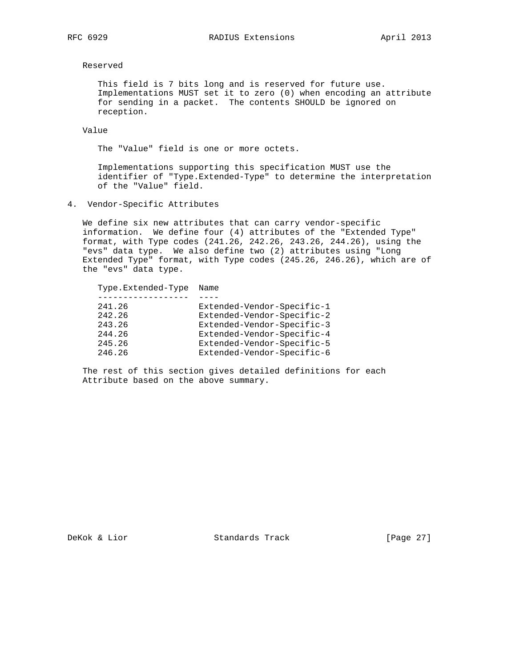Reserved

 This field is 7 bits long and is reserved for future use. Implementations MUST set it to zero (0) when encoding an attribute for sending in a packet. The contents SHOULD be ignored on reception.

Value

The "Value" field is one or more octets.

 Implementations supporting this specification MUST use the identifier of "Type.Extended-Type" to determine the interpretation of the "Value" field.

4. Vendor-Specific Attributes

 We define six new attributes that can carry vendor-specific information. We define four (4) attributes of the "Extended Type" format, with Type codes (241.26, 242.26, 243.26, 244.26), using the "evs" data type. We also define two (2) attributes using "Long Extended Type" format, with Type codes (245.26, 246.26), which are of the "evs" data type.

| Type.Extended-Type | Name                       |
|--------------------|----------------------------|
|                    |                            |
| 241.26             | Extended-Vendor-Specific-1 |
| 242.26             | Extended-Vendor-Specific-2 |
| 243.26             | Extended-Vendor-Specific-3 |
| 244.26             | Extended-Vendor-Specific-4 |
| 245.26             | Extended-Vendor-Specific-5 |
| 246.26             | Extended-Vendor-Specific-6 |
|                    |                            |

 The rest of this section gives detailed definitions for each Attribute based on the above summary.

DeKok & Lior Standards Track [Page 27]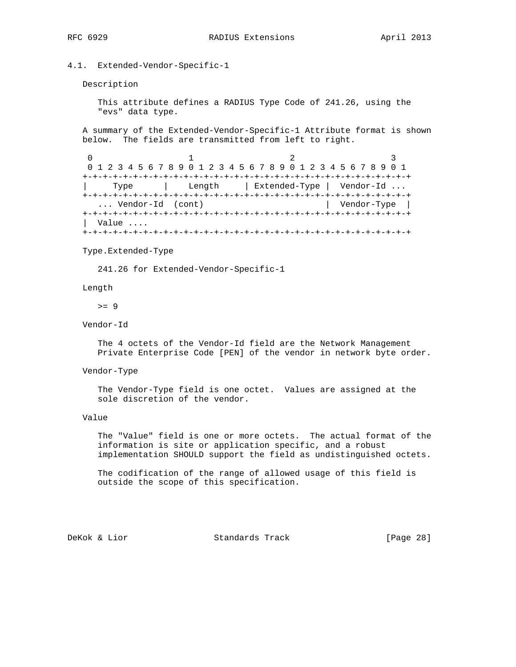# 4.1. Extended-Vendor-Specific-1

Description

 This attribute defines a RADIUS Type Code of 241.26, using the "evs" data type.

 A summary of the Extended-Vendor-Specific-1 Attribute format is shown below. The fields are transmitted from left to right.

```
0 1 2 3
   0 1 2 3 4 5 6 7 8 9 0 1 2 3 4 5 6 7 8 9 0 1 2 3 4 5 6 7 8 9 0 1
   +-+-+-+-+-+-+-+-+-+-+-+-+-+-+-+-+-+-+-+-+-+-+-+-+-+-+-+-+-+-+-+-+
   | Type | Length | Extended-Type | Vendor-Id ...
   +-+-+-+-+-+-+-+-+-+-+-+-+-+-+-+-+-+-+-+-+-+-+-+-+-+-+-+-+-+-+-+-+
    ... Vendor-Id (cont) | Vendor-Type |
   +-+-+-+-+-+-+-+-+-+-+-+-+-+-+-+-+-+-+-+-+-+-+-+-+-+-+-+-+-+-+-+-+
   | Value ....
   +-+-+-+-+-+-+-+-+-+-+-+-+-+-+-+-+-+-+-+-+-+-+-+-+-+-+-+-+-+-+-+-+
```
#### Type.Extended-Type

241.26 for Extended-Vendor-Specific-1

#### Length

 $>= 9$ 

## Vendor-Id

 The 4 octets of the Vendor-Id field are the Network Management Private Enterprise Code [PEN] of the vendor in network byte order.

# Vendor-Type

 The Vendor-Type field is one octet. Values are assigned at the sole discretion of the vendor.

## Value

 The "Value" field is one or more octets. The actual format of the information is site or application specific, and a robust implementation SHOULD support the field as undistinguished octets.

 The codification of the range of allowed usage of this field is outside the scope of this specification.

DeKok & Lior Standards Track [Page 28]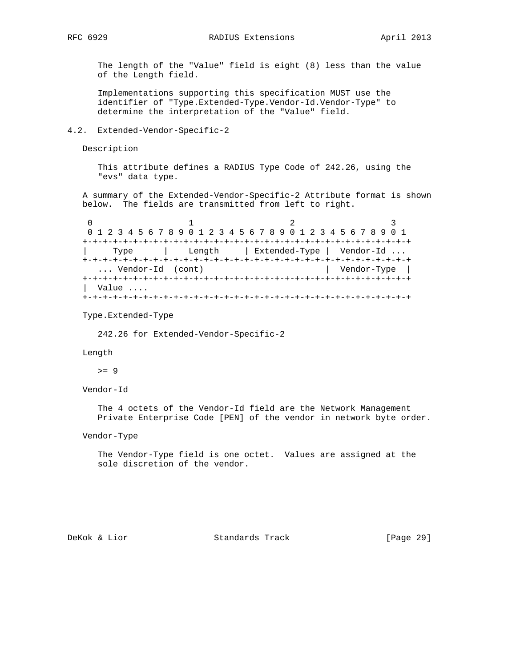The length of the "Value" field is eight (8) less than the value of the Length field.

 Implementations supporting this specification MUST use the identifier of "Type.Extended-Type.Vendor-Id.Vendor-Type" to determine the interpretation of the "Value" field.

## 4.2. Extended-Vendor-Specific-2

Description

 This attribute defines a RADIUS Type Code of 242.26, using the "evs" data type.

 A summary of the Extended-Vendor-Specific-2 Attribute format is shown below. The fields are transmitted from left to right.

|       |                  | 0 1 2 3 4 5 6 7 8 9 0 1 2 3 4 5 6 7 8 9 0 1 2 3 4 5 6 7 8 9 0 1 |             |
|-------|------------------|-----------------------------------------------------------------|-------------|
|       |                  |                                                                 |             |
| Type  |                  | Length   Extended-Type   Vendor-Id                              |             |
|       |                  |                                                                 |             |
|       | Vendor-Id (cont) |                                                                 | Vendor-Type |
|       |                  |                                                                 |             |
| Value |                  |                                                                 |             |
|       |                  |                                                                 |             |

Type.Extended-Type

242.26 for Extended-Vendor-Specific-2

#### Length

 $>= 9$ 

# Vendor-Id

 The 4 octets of the Vendor-Id field are the Network Management Private Enterprise Code [PEN] of the vendor in network byte order.

## Vendor-Type

 The Vendor-Type field is one octet. Values are assigned at the sole discretion of the vendor.

DeKok & Lior Standards Track [Page 29]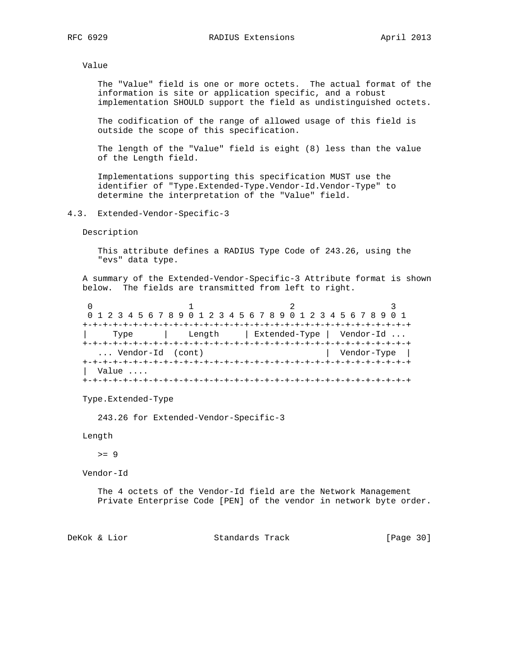Value

 The "Value" field is one or more octets. The actual format of the information is site or application specific, and a robust implementation SHOULD support the field as undistinguished octets.

 The codification of the range of allowed usage of this field is outside the scope of this specification.

 The length of the "Value" field is eight (8) less than the value of the Length field.

 Implementations supporting this specification MUST use the identifier of "Type.Extended-Type.Vendor-Id.Vendor-Type" to determine the interpretation of the "Value" field.

4.3. Extended-Vendor-Specific-3

Description

 This attribute defines a RADIUS Type Code of 243.26, using the "evs" data type.

 A summary of the Extended-Vendor-Specific-3 Attribute format is shown below. The fields are transmitted from left to right.

|                  |  | 0 1 2 3 4 5 6 7 8 9 0 1 2 3 4 5 6 7 8 9 0 1 2 3 4 5 6 7 8 9 0 1 |             |  |
|------------------|--|-----------------------------------------------------------------|-------------|--|
|                  |  |                                                                 |             |  |
| Type             |  | Length   Extended-Type   Vendor-Id                              |             |  |
|                  |  |                                                                 |             |  |
| Vendor-Id (cont) |  |                                                                 | Vendor-Type |  |
|                  |  |                                                                 |             |  |
| Value            |  |                                                                 |             |  |
|                  |  |                                                                 |             |  |

Type.Extended-Type

243.26 for Extended-Vendor-Specific-3

Length

 $>= 9$ 

Vendor-Id

 The 4 octets of the Vendor-Id field are the Network Management Private Enterprise Code [PEN] of the vendor in network byte order.

DeKok & Lior Standards Track [Page 30]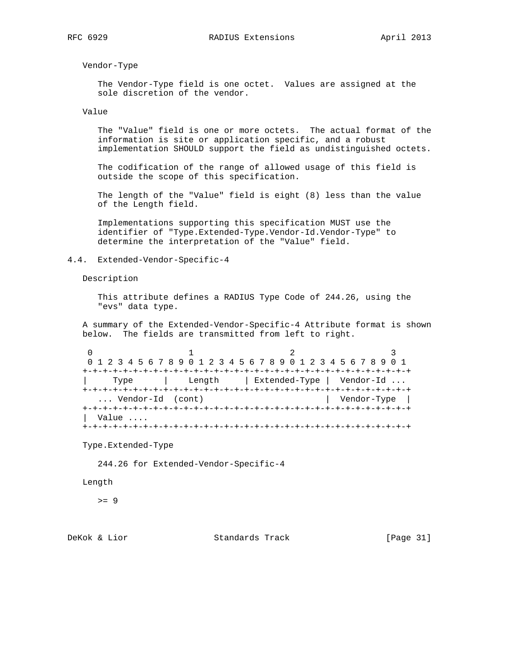Vendor-Type

 The Vendor-Type field is one octet. Values are assigned at the sole discretion of the vendor.

Value

 The "Value" field is one or more octets. The actual format of the information is site or application specific, and a robust implementation SHOULD support the field as undistinguished octets.

 The codification of the range of allowed usage of this field is outside the scope of this specification.

 The length of the "Value" field is eight (8) less than the value of the Length field.

 Implementations supporting this specification MUST use the identifier of "Type.Extended-Type.Vendor-Id.Vendor-Type" to determine the interpretation of the "Value" field.

## 4.4. Extended-Vendor-Specific-4

Description

 This attribute defines a RADIUS Type Code of 244.26, using the "evs" data type.

 A summary of the Extended-Vendor-Specific-4 Attribute format is shown below. The fields are transmitted from left to right.

0  $1$  2 3 0 1 2 3 4 5 6 7 8 9 0 1 2 3 4 5 6 7 8 9 0 1 2 3 4 5 6 7 8 9 0 1 +-+-+-+-+-+-+-+-+-+-+-+-+-+-+-+-+-+-+-+-+-+-+-+-+-+-+-+-+-+-+-+-+ | Type | Length | Extended-Type | Vendor-Id ... +-+-+-+-+-+-+-+-+-+-+-+-+-+-+-+-+-+-+-+-+-+-+-+-+-+-+-+-+-+-+-+-+ ... Vendor-Id (cont) +-+-+-+-+-+-+-+-+-+-+-+-+-+-+-+-+-+-+-+-+-+-+-+-+-+-+-+-+-+-+-+-+ | Value .... +-+-+-+-+-+-+-+-+-+-+-+-+-+-+-+-+-+-+-+-+-+-+-+-+-+-+-+-+-+-+-+-+

Type.Extended-Type

244.26 for Extended-Vendor-Specific-4

Length

 $>= 9$ 

DeKok & Lior Standards Track [Page 31]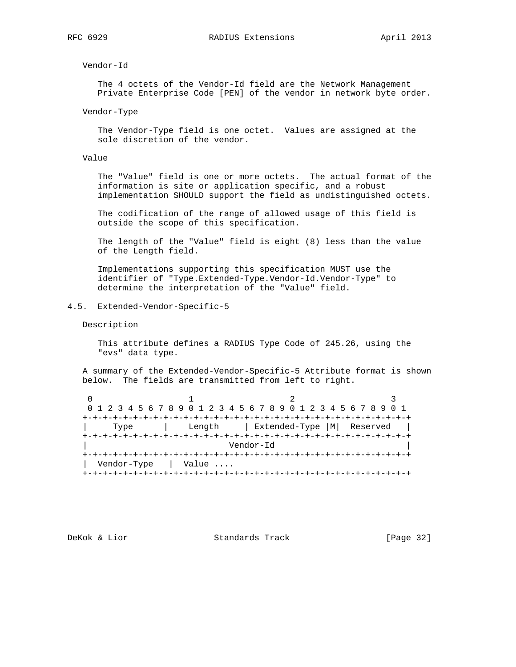Vendor-Id

 The 4 octets of the Vendor-Id field are the Network Management Private Enterprise Code [PEN] of the vendor in network byte order.

Vendor-Type

 The Vendor-Type field is one octet. Values are assigned at the sole discretion of the vendor.

Value

 The "Value" field is one or more octets. The actual format of the information is site or application specific, and a robust implementation SHOULD support the field as undistinguished octets.

 The codification of the range of allowed usage of this field is outside the scope of this specification.

 The length of the "Value" field is eight (8) less than the value of the Length field.

 Implementations supporting this specification MUST use the identifier of "Type.Extended-Type.Vendor-Id.Vendor-Type" to determine the interpretation of the "Value" field.

4.5. Extended-Vendor-Specific-5

Description

 This attribute defines a RADIUS Type Code of 245.26, using the "evs" data type.

 A summary of the Extended-Vendor-Specific-5 Attribute format is shown below. The fields are transmitted from left to right.

|                      |        | 0 1 2 3 4 5 6 7 8 9 0 1 2 3 4 5 6 7 8 9 0 1 2 3 4 5 6 7 8 9 0 1 |  |  |
|----------------------|--------|-----------------------------------------------------------------|--|--|
|                      |        |                                                                 |  |  |
| Type                 | Length | Extended-Type   M   Reserved                                    |  |  |
|                      |        |                                                                 |  |  |
| Vendor-Id            |        |                                                                 |  |  |
|                      |        |                                                                 |  |  |
| Vendor-Type<br>Value |        |                                                                 |  |  |
|                      |        |                                                                 |  |  |

DeKok & Lior Standards Track [Page 32]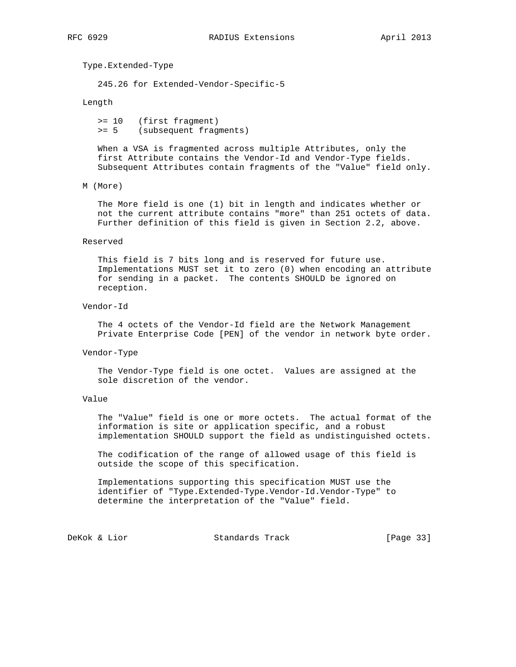Type.Extended-Type

245.26 for Extended-Vendor-Specific-5

Length

 >= 10 (first fragment) >= 5 (subsequent fragments)

 When a VSA is fragmented across multiple Attributes, only the first Attribute contains the Vendor-Id and Vendor-Type fields. Subsequent Attributes contain fragments of the "Value" field only.

#### M (More)

 The More field is one (1) bit in length and indicates whether or not the current attribute contains "more" than 251 octets of data. Further definition of this field is given in Section 2.2, above.

#### Reserved

 This field is 7 bits long and is reserved for future use. Implementations MUST set it to zero (0) when encoding an attribute for sending in a packet. The contents SHOULD be ignored on reception.

#### Vendor-Id

 The 4 octets of the Vendor-Id field are the Network Management Private Enterprise Code [PEN] of the vendor in network byte order.

#### Vendor-Type

 The Vendor-Type field is one octet. Values are assigned at the sole discretion of the vendor.

## Value

 The "Value" field is one or more octets. The actual format of the information is site or application specific, and a robust implementation SHOULD support the field as undistinguished octets.

 The codification of the range of allowed usage of this field is outside the scope of this specification.

 Implementations supporting this specification MUST use the identifier of "Type.Extended-Type.Vendor-Id.Vendor-Type" to determine the interpretation of the "Value" field.

DeKok & Lior Standards Track [Page 33]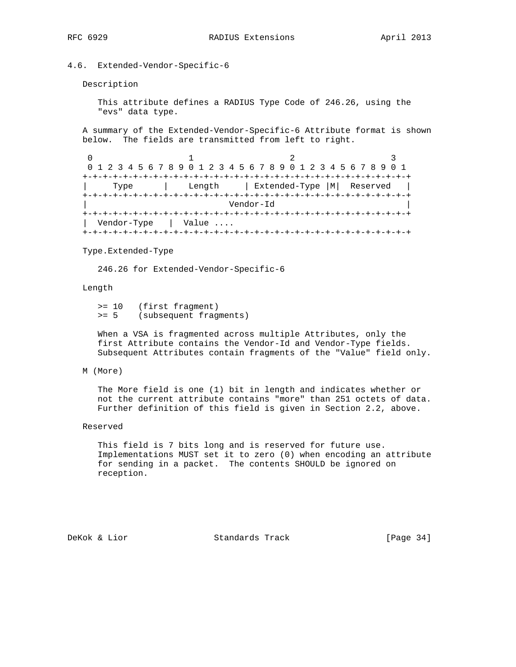## 4.6. Extended-Vendor-Specific-6

Description

 This attribute defines a RADIUS Type Code of 246.26, using the "evs" data type.

 A summary of the Extended-Vendor-Specific-6 Attribute format is shown below. The fields are transmitted from left to right.

```
0 1 2 3
   0 1 2 3 4 5 6 7 8 9 0 1 2 3 4 5 6 7 8 9 0 1 2 3 4 5 6 7 8 9 0 1
   +-+-+-+-+-+-+-+-+-+-+-+-+-+-+-+-+-+-+-+-+-+-+-+-+-+-+-+-+-+-+-+-+
      | Type | Length | Extended-Type |M| Reserved |
   +-+-+-+-+-+-+-+-+-+-+-+-+-+-+-+-+-+-+-+-+-+-+-+-+-+-+-+-+-+-+-+-+
                            | Vendor-Id |
   +-+-+-+-+-+-+-+-+-+-+-+-+-+-+-+-+-+-+-+-+-+-+-+-+-+-+-+-+-+-+-+-+
   | Vendor-Type | Value ....
   +-+-+-+-+-+-+-+-+-+-+-+-+-+-+-+-+-+-+-+-+-+-+-+-+-+-+-+-+-+-+-+-+
```
#### Type.Extended-Type

246.26 for Extended-Vendor-Specific-6

Length

 >= 10 (first fragment) >= 5 (subsequent fragments)

 When a VSA is fragmented across multiple Attributes, only the first Attribute contains the Vendor-Id and Vendor-Type fields. Subsequent Attributes contain fragments of the "Value" field only.

#### M (More)

 The More field is one (1) bit in length and indicates whether or not the current attribute contains "more" than 251 octets of data. Further definition of this field is given in Section 2.2, above.

## Reserved

 This field is 7 bits long and is reserved for future use. Implementations MUST set it to zero (0) when encoding an attribute for sending in a packet. The contents SHOULD be ignored on reception.

DeKok & Lior Standards Track [Page 34]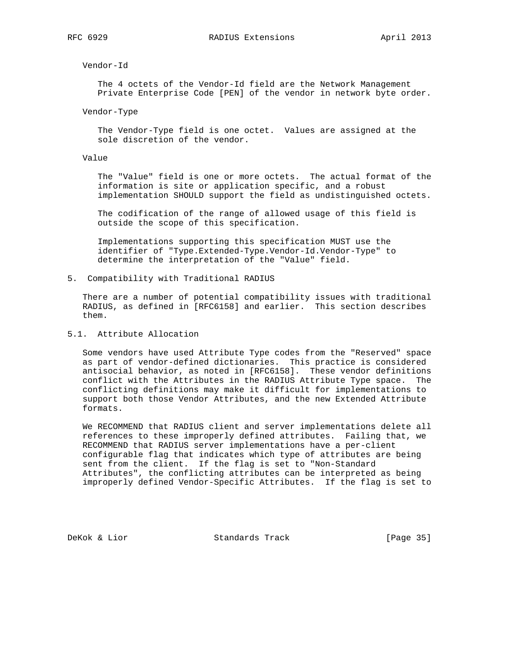Vendor-Id

 The 4 octets of the Vendor-Id field are the Network Management Private Enterprise Code [PEN] of the vendor in network byte order.

Vendor-Type

 The Vendor-Type field is one octet. Values are assigned at the sole discretion of the vendor.

## Value

 The "Value" field is one or more octets. The actual format of the information is site or application specific, and a robust implementation SHOULD support the field as undistinguished octets.

 The codification of the range of allowed usage of this field is outside the scope of this specification.

 Implementations supporting this specification MUST use the identifier of "Type.Extended-Type.Vendor-Id.Vendor-Type" to determine the interpretation of the "Value" field.

5. Compatibility with Traditional RADIUS

 There are a number of potential compatibility issues with traditional RADIUS, as defined in [RFC6158] and earlier. This section describes them.

# 5.1. Attribute Allocation

 Some vendors have used Attribute Type codes from the "Reserved" space as part of vendor-defined dictionaries. This practice is considered antisocial behavior, as noted in [RFC6158]. These vendor definitions conflict with the Attributes in the RADIUS Attribute Type space. The conflicting definitions may make it difficult for implementations to support both those Vendor Attributes, and the new Extended Attribute formats.

 We RECOMMEND that RADIUS client and server implementations delete all references to these improperly defined attributes. Failing that, we RECOMMEND that RADIUS server implementations have a per-client configurable flag that indicates which type of attributes are being sent from the client. If the flag is set to "Non-Standard Attributes", the conflicting attributes can be interpreted as being improperly defined Vendor-Specific Attributes. If the flag is set to

DeKok & Lior Standards Track [Page 35]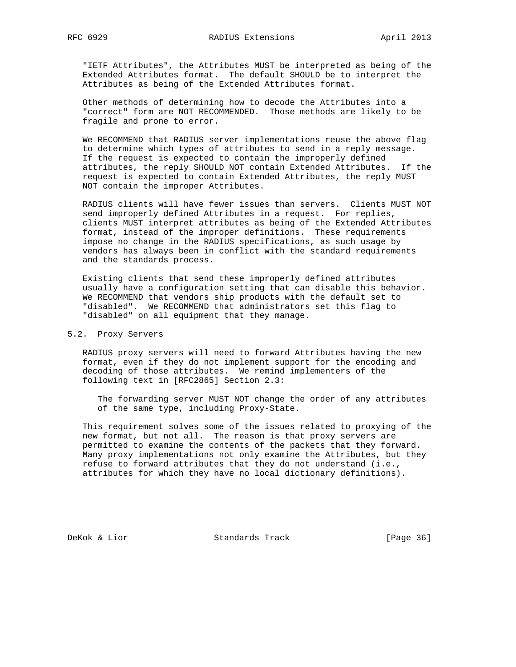"IETF Attributes", the Attributes MUST be interpreted as being of the Extended Attributes format. The default SHOULD be to interpret the Attributes as being of the Extended Attributes format.

 Other methods of determining how to decode the Attributes into a "correct" form are NOT RECOMMENDED. Those methods are likely to be fragile and prone to error.

 We RECOMMEND that RADIUS server implementations reuse the above flag to determine which types of attributes to send in a reply message. If the request is expected to contain the improperly defined attributes, the reply SHOULD NOT contain Extended Attributes. If the request is expected to contain Extended Attributes, the reply MUST NOT contain the improper Attributes.

 RADIUS clients will have fewer issues than servers. Clients MUST NOT send improperly defined Attributes in a request. For replies, clients MUST interpret attributes as being of the Extended Attributes format, instead of the improper definitions. These requirements impose no change in the RADIUS specifications, as such usage by vendors has always been in conflict with the standard requirements and the standards process.

 Existing clients that send these improperly defined attributes usually have a configuration setting that can disable this behavior. We RECOMMEND that vendors ship products with the default set to "disabled". We RECOMMEND that administrators set this flag to "disabled" on all equipment that they manage.

## 5.2. Proxy Servers

 RADIUS proxy servers will need to forward Attributes having the new format, even if they do not implement support for the encoding and decoding of those attributes. We remind implementers of the following text in [RFC2865] Section 2.3:

 The forwarding server MUST NOT change the order of any attributes of the same type, including Proxy-State.

 This requirement solves some of the issues related to proxying of the new format, but not all. The reason is that proxy servers are permitted to examine the contents of the packets that they forward. Many proxy implementations not only examine the Attributes, but they refuse to forward attributes that they do not understand (i.e., attributes for which they have no local dictionary definitions).

DeKok & Lior Standards Track [Page 36]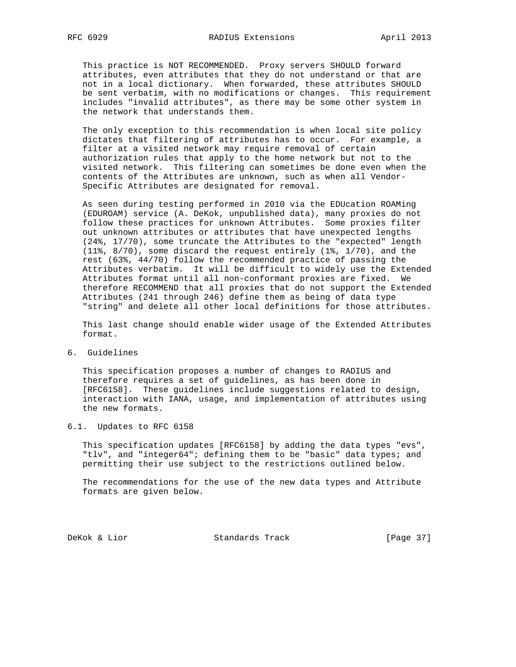This practice is NOT RECOMMENDED. Proxy servers SHOULD forward attributes, even attributes that they do not understand or that are not in a local dictionary. When forwarded, these attributes SHOULD be sent verbatim, with no modifications or changes. This requirement includes "invalid attributes", as there may be some other system in the network that understands them.

 The only exception to this recommendation is when local site policy dictates that filtering of attributes has to occur. For example, a filter at a visited network may require removal of certain authorization rules that apply to the home network but not to the visited network. This filtering can sometimes be done even when the contents of the Attributes are unknown, such as when all Vendor- Specific Attributes are designated for removal.

 As seen during testing performed in 2010 via the EDUcation ROAMing (EDUROAM) service (A. DeKok, unpublished data), many proxies do not follow these practices for unknown Attributes. Some proxies filter out unknown attributes or attributes that have unexpected lengths (24%, 17/70), some truncate the Attributes to the "expected" length (11%, 8/70), some discard the request entirely (1%, 1/70), and the rest (63%, 44/70) follow the recommended practice of passing the Attributes verbatim. It will be difficult to widely use the Extended Attributes format until all non-conformant proxies are fixed. We therefore RECOMMEND that all proxies that do not support the Extended Attributes (241 through 246) define them as being of data type "string" and delete all other local definitions for those attributes.

 This last change should enable wider usage of the Extended Attributes format.

6. Guidelines

 This specification proposes a number of changes to RADIUS and therefore requires a set of guidelines, as has been done in [RFC6158]. These guidelines include suggestions related to design, interaction with IANA, usage, and implementation of attributes using the new formats.

## 6.1. Updates to RFC 6158

 This specification updates [RFC6158] by adding the data types "evs", "tlv", and "integer64"; defining them to be "basic" data types; and permitting their use subject to the restrictions outlined below.

 The recommendations for the use of the new data types and Attribute formats are given below.

DeKok & Lior Standards Track [Page 37]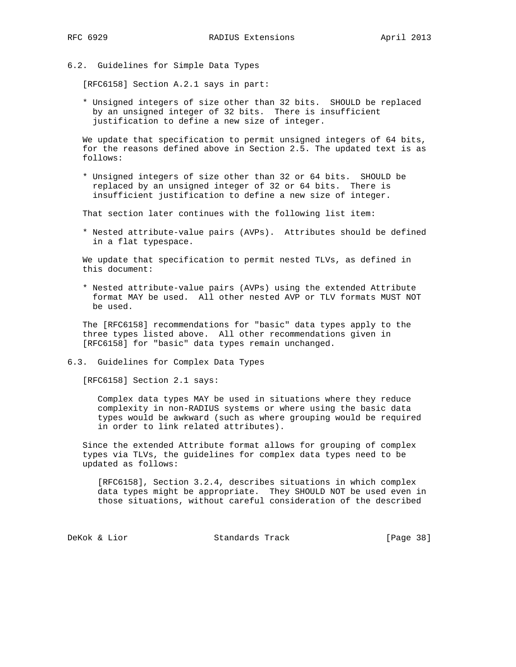6.2. Guidelines for Simple Data Types

[RFC6158] Section A.2.1 says in part:

 \* Unsigned integers of size other than 32 bits. SHOULD be replaced by an unsigned integer of 32 bits. There is insufficient justification to define a new size of integer.

 We update that specification to permit unsigned integers of 64 bits, for the reasons defined above in Section 2.5. The updated text is as follows:

 \* Unsigned integers of size other than 32 or 64 bits. SHOULD be replaced by an unsigned integer of 32 or 64 bits. There is insufficient justification to define a new size of integer.

That section later continues with the following list item:

 \* Nested attribute-value pairs (AVPs). Attributes should be defined in a flat typespace.

 We update that specification to permit nested TLVs, as defined in this document:

 \* Nested attribute-value pairs (AVPs) using the extended Attribute format MAY be used. All other nested AVP or TLV formats MUST NOT be used.

 The [RFC6158] recommendations for "basic" data types apply to the three types listed above. All other recommendations given in [RFC6158] for "basic" data types remain unchanged.

6.3. Guidelines for Complex Data Types

[RFC6158] Section 2.1 says:

 Complex data types MAY be used in situations where they reduce complexity in non-RADIUS systems or where using the basic data types would be awkward (such as where grouping would be required in order to link related attributes).

 Since the extended Attribute format allows for grouping of complex types via TLVs, the guidelines for complex data types need to be updated as follows:

 [RFC6158], Section 3.2.4, describes situations in which complex data types might be appropriate. They SHOULD NOT be used even in those situations, without careful consideration of the described

DeKok & Lior Standards Track [Page 38]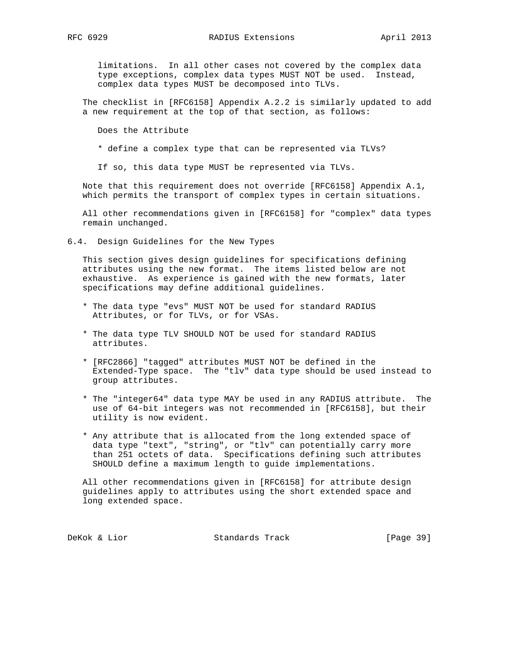limitations. In all other cases not covered by the complex data type exceptions, complex data types MUST NOT be used. Instead, complex data types MUST be decomposed into TLVs.

 The checklist in [RFC6158] Appendix A.2.2 is similarly updated to add a new requirement at the top of that section, as follows:

Does the Attribute

\* define a complex type that can be represented via TLVs?

If so, this data type MUST be represented via TLVs.

 Note that this requirement does not override [RFC6158] Appendix A.1, which permits the transport of complex types in certain situations.

 All other recommendations given in [RFC6158] for "complex" data types remain unchanged.

6.4. Design Guidelines for the New Types

 This section gives design guidelines for specifications defining attributes using the new format. The items listed below are not exhaustive. As experience is gained with the new formats, later specifications may define additional guidelines.

- \* The data type "evs" MUST NOT be used for standard RADIUS Attributes, or for TLVs, or for VSAs.
- \* The data type TLV SHOULD NOT be used for standard RADIUS attributes.
- \* [RFC2866] "tagged" attributes MUST NOT be defined in the Extended-Type space. The "tlv" data type should be used instead to group attributes.
- \* The "integer64" data type MAY be used in any RADIUS attribute. The use of 64-bit integers was not recommended in [RFC6158], but their utility is now evident.
- \* Any attribute that is allocated from the long extended space of data type "text", "string", or "tlv" can potentially carry more than 251 octets of data. Specifications defining such attributes SHOULD define a maximum length to guide implementations.

 All other recommendations given in [RFC6158] for attribute design guidelines apply to attributes using the short extended space and long extended space.

DeKok & Lior Standards Track [Page 39]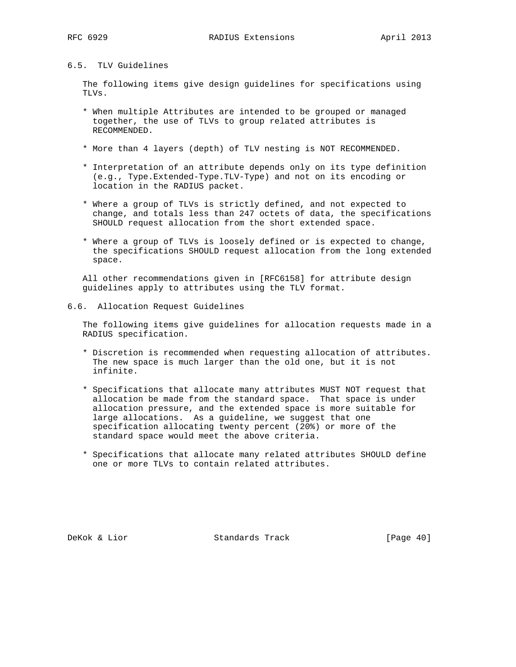# 6.5. TLV Guidelines

 The following items give design guidelines for specifications using TLVs.

- \* When multiple Attributes are intended to be grouped or managed together, the use of TLVs to group related attributes is RECOMMENDED.
- \* More than 4 layers (depth) of TLV nesting is NOT RECOMMENDED.
- \* Interpretation of an attribute depends only on its type definition (e.g., Type.Extended-Type.TLV-Type) and not on its encoding or location in the RADIUS packet.
- \* Where a group of TLVs is strictly defined, and not expected to change, and totals less than 247 octets of data, the specifications SHOULD request allocation from the short extended space.
- \* Where a group of TLVs is loosely defined or is expected to change, the specifications SHOULD request allocation from the long extended space.

 All other recommendations given in [RFC6158] for attribute design guidelines apply to attributes using the TLV format.

## 6.6. Allocation Request Guidelines

 The following items give guidelines for allocation requests made in a RADIUS specification.

- \* Discretion is recommended when requesting allocation of attributes. The new space is much larger than the old one, but it is not infinite.
- \* Specifications that allocate many attributes MUST NOT request that allocation be made from the standard space. That space is under allocation pressure, and the extended space is more suitable for large allocations. As a guideline, we suggest that one specification allocating twenty percent (20%) or more of the standard space would meet the above criteria.
- \* Specifications that allocate many related attributes SHOULD define one or more TLVs to contain related attributes.

DeKok & Lior Standards Track [Page 40]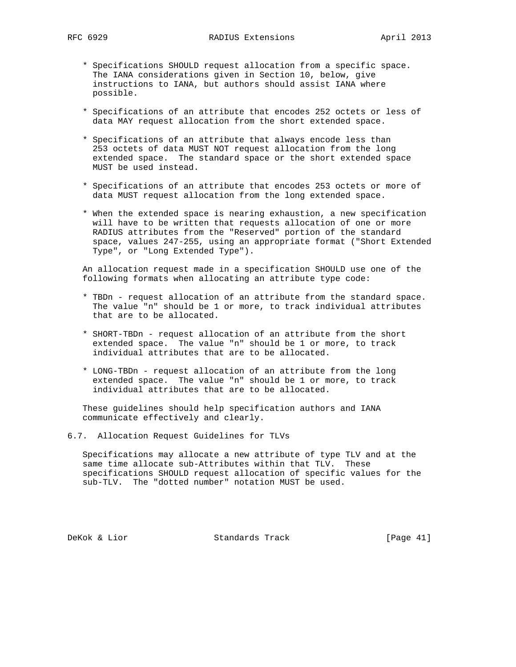- \* Specifications SHOULD request allocation from a specific space. The IANA considerations given in Section 10, below, give instructions to IANA, but authors should assist IANA where possible.
- \* Specifications of an attribute that encodes 252 octets or less of data MAY request allocation from the short extended space.
- \* Specifications of an attribute that always encode less than 253 octets of data MUST NOT request allocation from the long extended space. The standard space or the short extended space MUST be used instead.
- \* Specifications of an attribute that encodes 253 octets or more of data MUST request allocation from the long extended space.
- \* When the extended space is nearing exhaustion, a new specification will have to be written that requests allocation of one or more RADIUS attributes from the "Reserved" portion of the standard space, values 247-255, using an appropriate format ("Short Extended Type", or "Long Extended Type").

 An allocation request made in a specification SHOULD use one of the following formats when allocating an attribute type code:

- \* TBDn request allocation of an attribute from the standard space. The value "n" should be 1 or more, to track individual attributes that are to be allocated.
- \* SHORT-TBDn request allocation of an attribute from the short extended space. The value "n" should be 1 or more, to track individual attributes that are to be allocated.
- \* LONG-TBDn request allocation of an attribute from the long extended space. The value "n" should be 1 or more, to track individual attributes that are to be allocated.

 These guidelines should help specification authors and IANA communicate effectively and clearly.

6.7. Allocation Request Guidelines for TLVs

 Specifications may allocate a new attribute of type TLV and at the same time allocate sub-Attributes within that TLV. These specifications SHOULD request allocation of specific values for the sub-TLV. The "dotted number" notation MUST be used.

DeKok & Lior Standards Track [Page 41]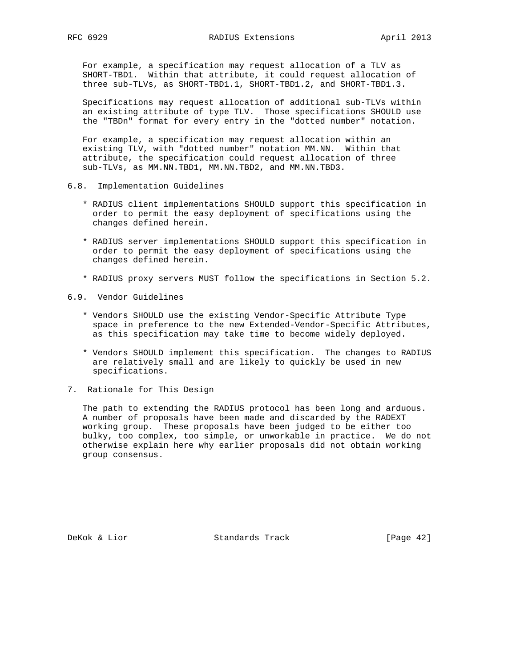For example, a specification may request allocation of a TLV as SHORT-TBD1. Within that attribute, it could request allocation of three sub-TLVs, as SHORT-TBD1.1, SHORT-TBD1.2, and SHORT-TBD1.3.

 Specifications may request allocation of additional sub-TLVs within an existing attribute of type TLV. Those specifications SHOULD use the "TBDn" format for every entry in the "dotted number" notation.

 For example, a specification may request allocation within an existing TLV, with "dotted number" notation MM.NN. Within that attribute, the specification could request allocation of three sub-TLVs, as MM.NN.TBD1, MM.NN.TBD2, and MM.NN.TBD3.

- 6.8. Implementation Guidelines
	- \* RADIUS client implementations SHOULD support this specification in order to permit the easy deployment of specifications using the changes defined herein.
	- \* RADIUS server implementations SHOULD support this specification in order to permit the easy deployment of specifications using the changes defined herein.
	- \* RADIUS proxy servers MUST follow the specifications in Section 5.2.
- 6.9. Vendor Guidelines
	- \* Vendors SHOULD use the existing Vendor-Specific Attribute Type space in preference to the new Extended-Vendor-Specific Attributes, as this specification may take time to become widely deployed.
	- \* Vendors SHOULD implement this specification. The changes to RADIUS are relatively small and are likely to quickly be used in new specifications.
- 7. Rationale for This Design

 The path to extending the RADIUS protocol has been long and arduous. A number of proposals have been made and discarded by the RADEXT working group. These proposals have been judged to be either too bulky, too complex, too simple, or unworkable in practice. We do not otherwise explain here why earlier proposals did not obtain working group consensus.

DeKok & Lior Standards Track [Page 42]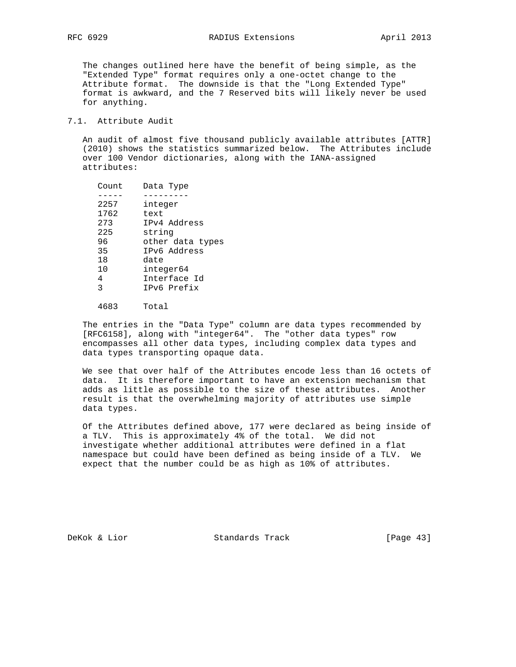The changes outlined here have the benefit of being simple, as the "Extended Type" format requires only a one-octet change to the Attribute format. The downside is that the "Long Extended Type" format is awkward, and the 7 Reserved bits will likely never be used for anything.

## 7.1. Attribute Audit

 An audit of almost five thousand publicly available attributes [ATTR] (2010) shows the statistics summarized below. The Attributes include over 100 Vendor dictionaries, along with the IANA-assigned attributes:

| Count | Data Type        |
|-------|------------------|
|       |                  |
| 2257  | integer          |
| 1762  | text             |
| 273   | IPv4 Address     |
| 225   | string           |
| 96    | other data types |
| 35    | TPv6 Address     |
| 18    | date             |
| 10    | integer64        |
| 4     | Interface Id     |
| 3     | TPv6 Prefix      |
|       |                  |

4683 Total

 The entries in the "Data Type" column are data types recommended by [RFC6158], along with "integer64". The "other data types" row encompasses all other data types, including complex data types and data types transporting opaque data.

 We see that over half of the Attributes encode less than 16 octets of data. It is therefore important to have an extension mechanism that adds as little as possible to the size of these attributes. Another result is that the overwhelming majority of attributes use simple data types.

 Of the Attributes defined above, 177 were declared as being inside of a TLV. This is approximately 4% of the total. We did not investigate whether additional attributes were defined in a flat namespace but could have been defined as being inside of a TLV. We expect that the number could be as high as 10% of attributes.

DeKok & Lior Standards Track [Page 43]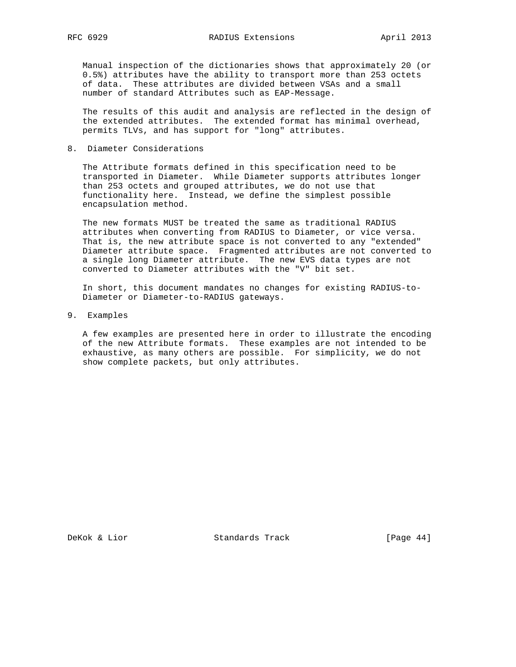Manual inspection of the dictionaries shows that approximately 20 (or 0.5%) attributes have the ability to transport more than 253 octets of data. These attributes are divided between VSAs and a small number of standard Attributes such as EAP-Message.

 The results of this audit and analysis are reflected in the design of the extended attributes. The extended format has minimal overhead, permits TLVs, and has support for "long" attributes.

8. Diameter Considerations

 The Attribute formats defined in this specification need to be transported in Diameter. While Diameter supports attributes longer than 253 octets and grouped attributes, we do not use that functionality here. Instead, we define the simplest possible encapsulation method.

 The new formats MUST be treated the same as traditional RADIUS attributes when converting from RADIUS to Diameter, or vice versa. That is, the new attribute space is not converted to any "extended" Diameter attribute space. Fragmented attributes are not converted to a single long Diameter attribute. The new EVS data types are not converted to Diameter attributes with the "V" bit set.

 In short, this document mandates no changes for existing RADIUS-to- Diameter or Diameter-to-RADIUS gateways.

9. Examples

 A few examples are presented here in order to illustrate the encoding of the new Attribute formats. These examples are not intended to be exhaustive, as many others are possible. For simplicity, we do not show complete packets, but only attributes.

DeKok & Lior Standards Track [Page 44]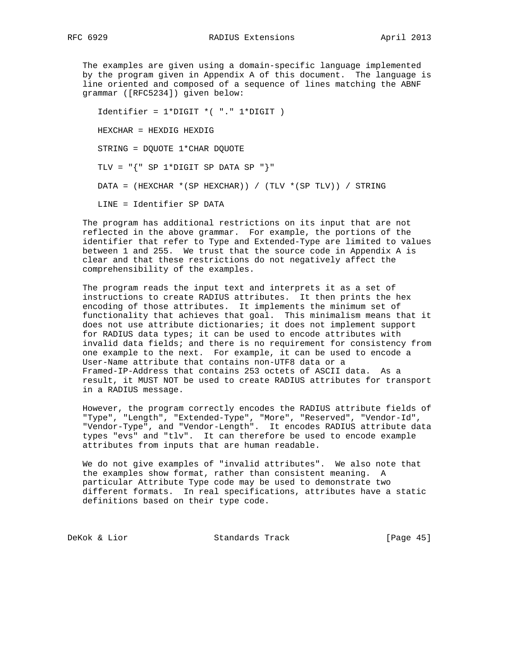The examples are given using a domain-specific language implemented by the program given in Appendix A of this document. The language is line oriented and composed of a sequence of lines matching the ABNF grammar ([RFC5234]) given below:

 Identifier = 1\*DIGIT \*( "." 1\*DIGIT ) HEXCHAR = HEXDIG HEXDIG STRING = DQUOTE 1\*CHAR DQUOTE TLV = "{" SP 1\*DIGIT SP DATA SP "}" DATA = (HEXCHAR \*(SP HEXCHAR)) / (TLV \*(SP TLV)) / STRING LINE = Identifier SP DATA

 The program has additional restrictions on its input that are not reflected in the above grammar. For example, the portions of the identifier that refer to Type and Extended-Type are limited to values between 1 and 255. We trust that the source code in Appendix A is clear and that these restrictions do not negatively affect the comprehensibility of the examples.

 The program reads the input text and interprets it as a set of instructions to create RADIUS attributes. It then prints the hex encoding of those attributes. It implements the minimum set of functionality that achieves that goal. This minimalism means that it does not use attribute dictionaries; it does not implement support for RADIUS data types; it can be used to encode attributes with invalid data fields; and there is no requirement for consistency from one example to the next. For example, it can be used to encode a User-Name attribute that contains non-UTF8 data or a Framed-IP-Address that contains 253 octets of ASCII data. As a result, it MUST NOT be used to create RADIUS attributes for transport in a RADIUS message.

 However, the program correctly encodes the RADIUS attribute fields of "Type", "Length", "Extended-Type", "More", "Reserved", "Vendor-Id", "Vendor-Type", and "Vendor-Length". It encodes RADIUS attribute data types "evs" and "tlv". It can therefore be used to encode example attributes from inputs that are human readable.

 We do not give examples of "invalid attributes". We also note that the examples show format, rather than consistent meaning. A particular Attribute Type code may be used to demonstrate two different formats. In real specifications, attributes have a static definitions based on their type code.

DeKok & Lior Standards Track [Page 45]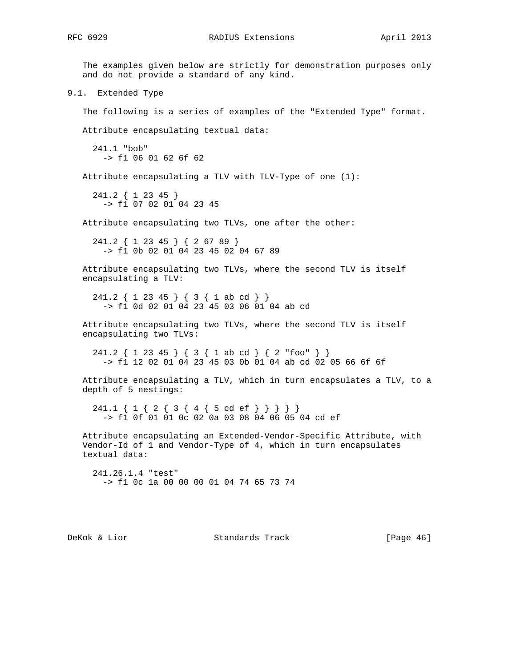The examples given below are strictly for demonstration purposes only and do not provide a standard of any kind. 9.1. Extended Type The following is a series of examples of the "Extended Type" format. Attribute encapsulating textual data: 241.1 "bob" -> f1 06 01 62 6f 62 Attribute encapsulating a TLV with TLV-Type of one (1): 241.2 { 1 23 45 } -> f1 07 02 01 04 23 45 Attribute encapsulating two TLVs, one after the other: 241.2 { 1 23 45 } { 2 67 89 } -> f1 0b 02 01 04 23 45 02 04 67 89 Attribute encapsulating two TLVs, where the second TLV is itself encapsulating a TLV: 241.2 { 1 23 45 } { 3 { 1 ab cd } } -> f1 0d 02 01 04 23 45 03 06 01 04 ab cd Attribute encapsulating two TLVs, where the second TLV is itself encapsulating two TLVs: 241.2 { 1 23 45 } { 3 { 1 ab cd } { 2 "foo" } } -> f1 12 02 01 04 23 45 03 0b 01 04 ab cd 02 05 66 6f 6f Attribute encapsulating a TLV, which in turn encapsulates a TLV, to a depth of 5 nestings: 241.1 { 1 { 2 { 3 { 4 { 5 cd ef } } } } } -> f1 0f 01 01 0c 02 0a 03 08 04 06 05 04 cd ef Attribute encapsulating an Extended-Vendor-Specific Attribute, with Vendor-Id of 1 and Vendor-Type of 4, which in turn encapsulates textual data: 241.26.1.4 "test" -> f1 0c 1a 00 00 00 01 04 74 65 73 74

DeKok & Lior Standards Track [Page 46]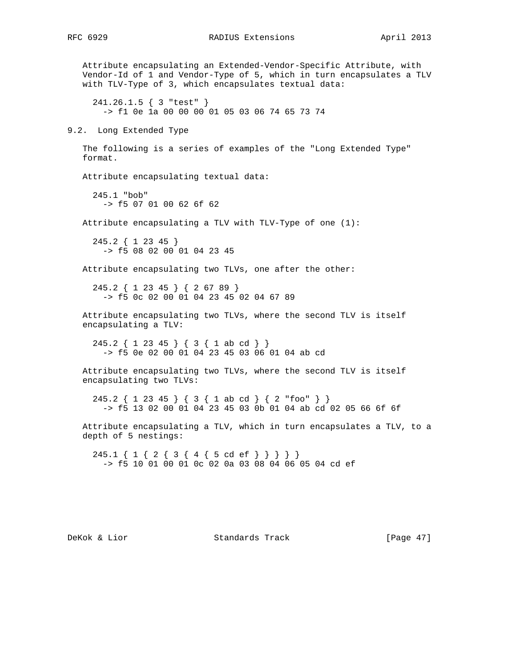Attribute encapsulating an Extended-Vendor-Specific Attribute, with Vendor-Id of 1 and Vendor-Type of 5, which in turn encapsulates a TLV with TLV-Type of 3, which encapsulates textual data: 241.26.1.5 { 3 "test" } -> f1 0e 1a 00 00 00 01 05 03 06 74 65 73 74 9.2. Long Extended Type The following is a series of examples of the "Long Extended Type" format. Attribute encapsulating textual data: 245.1 "bob" -> f5 07 01 00 62 6f 62 Attribute encapsulating a TLV with TLV-Type of one (1): 245.2 { 1 23 45 } -> f5 08 02 00 01 04 23 45 Attribute encapsulating two TLVs, one after the other: 245.2 { 1 23 45 } { 2 67 89 } -> f5 0c 02 00 01 04 23 45 02 04 67 89 Attribute encapsulating two TLVs, where the second TLV is itself encapsulating a TLV: 245.2 { 1 23 45 } { 3 { 1 ab cd } } -> f5 0e 02 00 01 04 23 45 03 06 01 04 ab cd Attribute encapsulating two TLVs, where the second TLV is itself encapsulating two TLVs: 245.2 { 1 23 45 } { 3 { 1 ab cd } { 2 "foo" } } -> f5 13 02 00 01 04 23 45 03 0b 01 04 ab cd 02 05 66 6f 6f Attribute encapsulating a TLV, which in turn encapsulates a TLV, to a depth of 5 nestings: 245.1 { 1 { 2 { 3 { 4 { 5 cd ef } } } } } -> f5 10 01 00 01 0c 02 0a 03 08 04 06 05 04 cd ef

DeKok & Lior Standards Track [Page 47]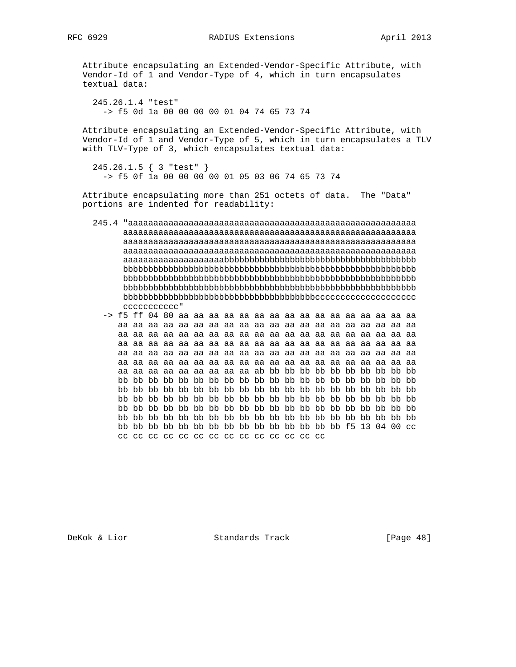Attribute encapsulating an Extended-Vendor-Specific Attribute, with Vendor-Id of 1 and Vendor-Type of 4, which in turn encapsulates textual data:

 245.26.1.4 "test" -> f5 0d 1a 00 00 00 00 01 04 74 65 73 74

 Attribute encapsulating an Extended-Vendor-Specific Attribute, with Vendor-Id of 1 and Vendor-Type of 5, which in turn encapsulates a TLV with TLV-Type of 3, which encapsulates textual data:

```
 245.26.1.5 { 3 "test" }
   -> f5 0f 1a 00 00 00 00 01 05 03 06 74 65 73 74
```
 Attribute encapsulating more than 251 octets of data. The "Data" portions are indented for readability:

- 245.4 "aaaaaaaaaaaaaaaaaaaaaaaaaaaaaaaaaaaaaaaaaaaaaaaaaaaaaaaaa aaaaaaaaaaaaaaaaaaaaaaaaaaaaaaaaaaaaaaaaaaaaaaaaaaaaaaaaaa aaaaaaaaaaaaaaaaaaaaaaaaaaaaaaaaaaaaaaaaaaaaaaaaaaaaaaaaaa aaaaaaaaaaaaaaaaaaaaaaaaaaaaaaaaaaaaaaaaaaaaaaaaaaaaaaaaaa aaaaaaaaaaaaaaaaaaaabbbbbbbbbbbbbbbbbbbbbbbbbbbbbbbbbbbbbb bbbbbbbbbbbbbbbbbbbbbbbbbbbbbbbbbbbbbbbbbbbbbbbbbbbbbbbbbb bbbbbbbbbbbbbbbbbbbbbbbbbbbbbbbbbbbbbbbbbbbbbbbbbbbbbbbbbb bbbbbbbbbbbbbbbbbbbbbbbbbbbbbbbbbbbbbbbbbbbbbbbbbbbbbbbbbb bbbbbbbbbbbbbbbbbbbbbbbbbbbbbbbbbbbbbbcccccccccccccccccccc ccccccccccc"
	- -> f5 ff 04 80 aa aa aa aa aa aa aa aa aa aa aa aa aa aa aa aa aa aa aa aa aa aa aa aa aa aa aa aa aa aa aa aa aa aa aa aa aa aa aa aa aa aa aa aa aa aa aa aa aa aa aa aa aa aa aa aa aa aa aa aa aa aa aa aa aa aa aa aa aa aa aa aa aa aa aa aa aa aa aa aa aa aa aa aa aa aa aa aa aa aa aa aa aa aa aa aa aa aa aa aa aa aa aa aa aa aa aa aa aa aa aa aa aa aa aa aa aa aa aa aa aa aa aa aa aa ab bb bb bb bb bb bb bb bb bb bb bb bb bb bb bb bb bb bb bb bb bb bb bb bb bb bb bb bb bb bb bb bb bb bb bb bb bb bb bb bb bb bb bb bb bb bb bb bb bb bb bb bb bb bb bb bb bb bb bb bb bb bb bb bb bb bb bb bb bb bb bb bb bb bb bb bb bb bb bb bb bb bb bb bb bb bb bb bb bb bb bb bb bb bb bb bb bb bb bb bb bb bb bb bb bb bb bb bb bb bb bb bb bb bb bb bb bb bb bb bb bb bb bb bb bb f5 13 04 00 cc cc cc cc cc cc cc cc cc cc cc cc cc cc

DeKok & Lior Standards Track [Page 48]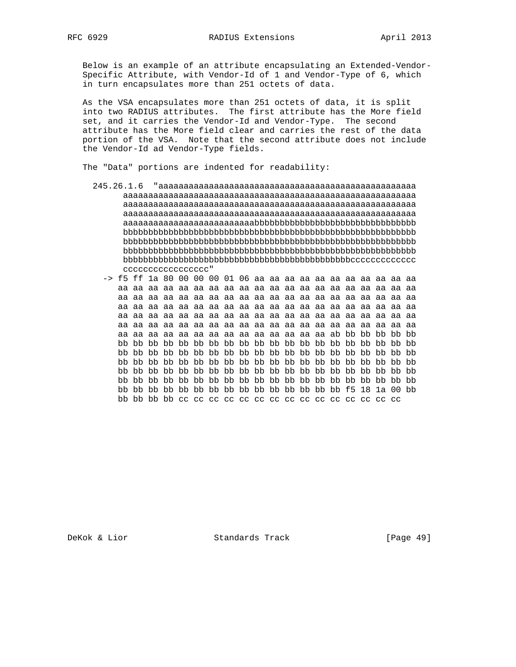Below is an example of an attribute encapsulating an Extended-Vendor- Specific Attribute, with Vendor-Id of 1 and Vendor-Type of 6, which in turn encapsulates more than 251 octets of data.

 As the VSA encapsulates more than 251 octets of data, it is split into two RADIUS attributes. The first attribute has the More field set, and it carries the Vendor-Id and Vendor-Type. The second attribute has the More field clear and carries the rest of the data portion of the VSA. Note that the second attribute does not include the Vendor-Id ad Vendor-Type fields.

The "Data" portions are indented for readability:

- 245.26.1.6 "aaaaaaaaaaaaaaaaaaaaaaaaaaaaaaaaaaaaaaaaaaaaaaaaaaa aaaaaaaaaaaaaaaaaaaaaaaaaaaaaaaaaaaaaaaaaaaaaaaaaaaaaaaaaa aaaaaaaaaaaaaaaaaaaaaaaaaaaaaaaaaaaaaaaaaaaaaaaaaaaaaaaaaa aaaaaaaaaaaaaaaaaaaaaaaaaaaaaaaaaaaaaaaaaaaaaaaaaaaaaaaaaa aaaaaaaaaaaaaaaaaaaaaaaaaabbbbbbbbbbbbbbbbbbbbbbbbbbbbbbbb bbbbbbbbbbbbbbbbbbbbbbbbbbbbbbbbbbbbbbbbbbbbbbbbbbbbbbbbbb bbbbbbbbbbbbbbbbbbbbbbbbbbbbbbbbbbbbbbbbbbbbbbbbbbbbbbbbbb bbbbbbbbbbbbbbbbbbbbbbbbbbbbbbbbbbbbbbbbbbbbbbbbbbbbbbbbbb bbbbbbbbbbbbbbbbbbbbbbbbbbbbbbbbbbbbbbbbbbbbbccccccccccccc ccccccccccccccccc"
	- -> f5 ff 1a 80 00 00 00 01 06 aa aa aa aa aa aa aa aa aa aa aa aa aa aa aa aa aa aa aa aa aa aa aa aa aa aa aa aa aa aa aa aa aa aa aa aa aa aa aa aa aa aa aa aa aa aa aa aa aa aa aa aa aa aa aa aa aa aa aa aa aa aa aa aa aa aa aa aa aa aa aa aa aa aa aa aa aa aa aa aa aa aa aa aa aa aa aa aa aa aa aa aa aa aa aa aa aa aa aa aa aa aa aa aa aa aa aa aa aa aa aa aa aa aa aa aa aa aa aa aa aa aa aa aa aa ab bb bb bb bb bb bb bb bb bb bb bb bb bb bb bb bb bb bb bb bb bb bb bb bb bb bb bb bb bb bb bb bb bb bb bb bb bb bb bb bb bb bb bb bb bb bb bb bb bb bb bb bb bb bb bb bb bb bb bb bb bb bb bb bb bb bb bb bb bb bb bb bb bb bb bb bb bb bb bb bb bb bb bb bb bb bb bb bb bb bb bb bb bb bb bb bb bb bb bb bb bb bb bb bb bb bb bb bb bb bb bb bb bb bb bb bb bb bb bb bb f5 18 1a 00 bb bb bb bb bb cc cc cc cc cc cc cc cc cc cc cc cc cc cc cc

DeKok & Lior Standards Track [Page 49]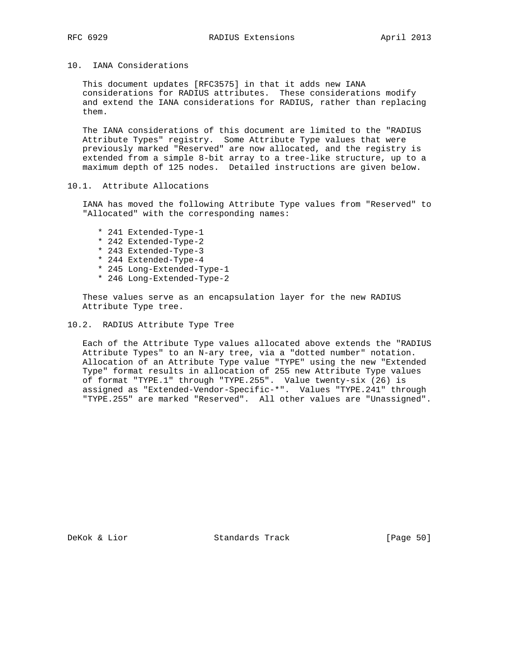10. IANA Considerations

 This document updates [RFC3575] in that it adds new IANA considerations for RADIUS attributes. These considerations modify and extend the IANA considerations for RADIUS, rather than replacing them.

 The IANA considerations of this document are limited to the "RADIUS Attribute Types" registry. Some Attribute Type values that were previously marked "Reserved" are now allocated, and the registry is extended from a simple 8-bit array to a tree-like structure, up to a maximum depth of 125 nodes. Detailed instructions are given below.

# 10.1. Attribute Allocations

 IANA has moved the following Attribute Type values from "Reserved" to "Allocated" with the corresponding names:

- \* 241 Extended-Type-1
- \* 242 Extended-Type-2
- \* 243 Extended-Type-3
- \* 244 Extended-Type-4
- \* 245 Long-Extended-Type-1
- \* 246 Long-Extended-Type-2

 These values serve as an encapsulation layer for the new RADIUS Attribute Type tree.

## 10.2. RADIUS Attribute Type Tree

 Each of the Attribute Type values allocated above extends the "RADIUS Attribute Types" to an N-ary tree, via a "dotted number" notation. Allocation of an Attribute Type value "TYPE" using the new "Extended Type" format results in allocation of 255 new Attribute Type values of format "TYPE.1" through "TYPE.255". Value twenty-six (26) is assigned as "Extended-Vendor-Specific-\*". Values "TYPE.241" through "TYPE.255" are marked "Reserved". All other values are "Unassigned".

DeKok & Lior Standards Track [Page 50]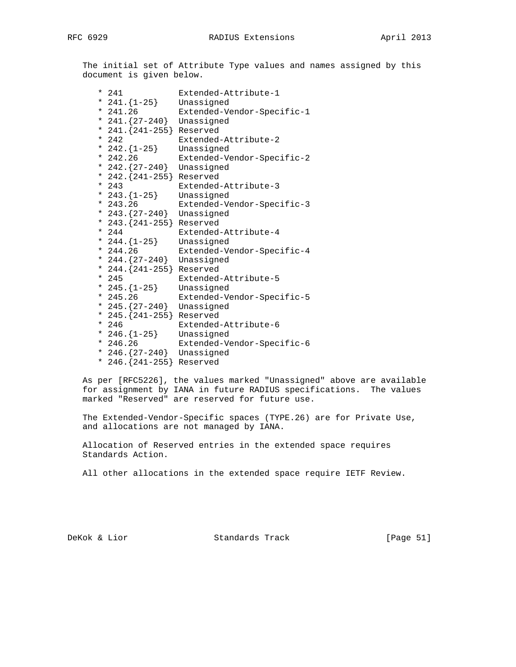The initial set of Attribute Type values and names assigned by this document is given below.

|  | $* 241$                   | Extended-Attribute-1       |
|--|---------------------------|----------------------------|
|  | * $241.\{1-25\}$          | Unassigned                 |
|  | $* 241.26$                | Extended-Vendor-Specific-1 |
|  | * $241.\{27-240\}$        | Unassigned                 |
|  | * 241. {241-255} Reserved |                            |
|  | $* 242$                   | Extended-Attribute-2       |
|  | * $242.\{1-25\}$          | Unassigned                 |
|  | $* 242.26$                | Extended-Vendor-Specific-2 |
|  | * 242. $\{27-240\}$       | Unassigned                 |
|  | * 242. {241-255} Reserved |                            |
|  | $* 243$                   | Extended-Attribute-3       |
|  | * 243. $\{1-25\}$         | Unassigned                 |
|  | $* 243.26$                | Extended-Vendor-Specific-3 |
|  | * 243. $\{27-240\}$       | Unassigned                 |
|  | * 243. {241-255} Reserved |                            |
|  | $* 244$                   | Extended-Attribute-4       |
|  | * 244. ${1-25}$           | Unassigned                 |
|  | $* 244.26$                | Extended-Vendor-Specific-4 |
|  | * 244. {27-240}           | Unassigned                 |
|  | * 244. {241-255} Reserved |                            |
|  | $*245$                    | Extended-Attribute-5       |
|  | * 245. $\{1-25\}$         | Unassigned                 |
|  | $* 245.26$                | Extended-Vendor-Specific-5 |
|  | * 245. ${27-240}$         | Unassigned                 |
|  | * 245. {241-255} Reserved |                            |
|  | $* 246$                   | Extended-Attribute-6       |
|  | * 246. $\{1-25\}$         | Unassigned                 |
|  | $* 246.26$                | Extended-Vendor-Specific-6 |
|  | * 246. ${27-240}$         | Unassigned                 |
|  | $* 246. {241-255}$        | Reserved                   |

 As per [RFC5226], the values marked "Unassigned" above are available for assignment by IANA in future RADIUS specifications. The values marked "Reserved" are reserved for future use.

 The Extended-Vendor-Specific spaces (TYPE.26) are for Private Use, and allocations are not managed by IANA.

 Allocation of Reserved entries in the extended space requires Standards Action.

All other allocations in the extended space require IETF Review.

DeKok & Lior Standards Track [Page 51]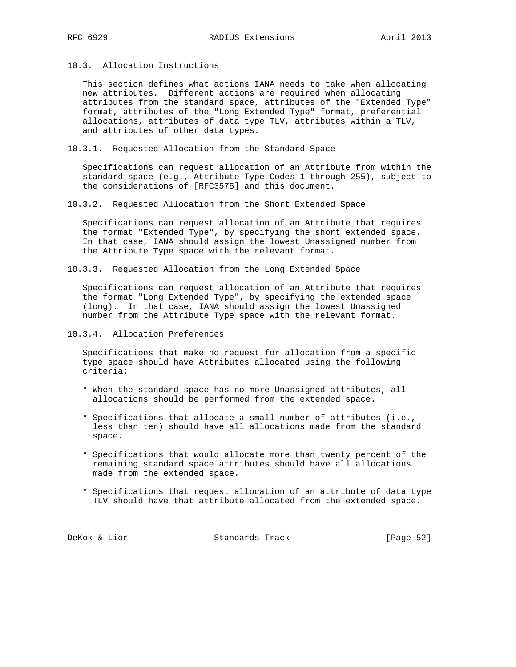10.3. Allocation Instructions

 This section defines what actions IANA needs to take when allocating new attributes. Different actions are required when allocating attributes from the standard space, attributes of the "Extended Type" format, attributes of the "Long Extended Type" format, preferential allocations, attributes of data type TLV, attributes within a TLV, and attributes of other data types.

10.3.1. Requested Allocation from the Standard Space

 Specifications can request allocation of an Attribute from within the standard space (e.g., Attribute Type Codes 1 through 255), subject to the considerations of [RFC3575] and this document.

10.3.2. Requested Allocation from the Short Extended Space

 Specifications can request allocation of an Attribute that requires the format "Extended Type", by specifying the short extended space. In that case, IANA should assign the lowest Unassigned number from the Attribute Type space with the relevant format.

10.3.3. Requested Allocation from the Long Extended Space

 Specifications can request allocation of an Attribute that requires the format "Long Extended Type", by specifying the extended space (long). In that case, IANA should assign the lowest Unassigned number from the Attribute Type space with the relevant format.

10.3.4. Allocation Preferences

 Specifications that make no request for allocation from a specific type space should have Attributes allocated using the following criteria:

- \* When the standard space has no more Unassigned attributes, all allocations should be performed from the extended space.
- \* Specifications that allocate a small number of attributes (i.e., less than ten) should have all allocations made from the standard space.
- \* Specifications that would allocate more than twenty percent of the remaining standard space attributes should have all allocations made from the extended space.
- \* Specifications that request allocation of an attribute of data type TLV should have that attribute allocated from the extended space.

DeKok & Lior Standards Track [Page 52]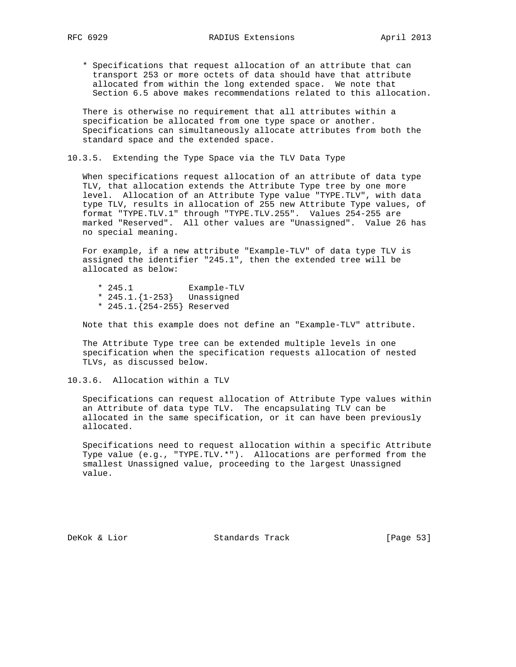\* Specifications that request allocation of an attribute that can transport 253 or more octets of data should have that attribute allocated from within the long extended space. We note that Section 6.5 above makes recommendations related to this allocation.

 There is otherwise no requirement that all attributes within a specification be allocated from one type space or another. Specifications can simultaneously allocate attributes from both the standard space and the extended space.

10.3.5. Extending the Type Space via the TLV Data Type

 When specifications request allocation of an attribute of data type TLV, that allocation extends the Attribute Type tree by one more level. Allocation of an Attribute Type value "TYPE.TLV", with data type TLV, results in allocation of 255 new Attribute Type values, of format "TYPE.TLV.1" through "TYPE.TLV.255". Values 254-255 are marked "Reserved". All other values are "Unassigned". Value 26 has no special meaning.

 For example, if a new attribute "Example-TLV" of data type TLV is assigned the identifier "245.1", then the extended tree will be allocated as below:

- \* 245.1 Example-TLV
- \* 245.1.{1-253} Unassigned
- \* 245.1.{254-255} Reserved

Note that this example does not define an "Example-TLV" attribute.

 The Attribute Type tree can be extended multiple levels in one specification when the specification requests allocation of nested TLVs, as discussed below.

10.3.6. Allocation within a TLV

 Specifications can request allocation of Attribute Type values within an Attribute of data type TLV. The encapsulating TLV can be allocated in the same specification, or it can have been previously allocated.

 Specifications need to request allocation within a specific Attribute Type value (e.g., "TYPE.TLV.\*"). Allocations are performed from the smallest Unassigned value, proceeding to the largest Unassigned value.

DeKok & Lior Standards Track [Page 53]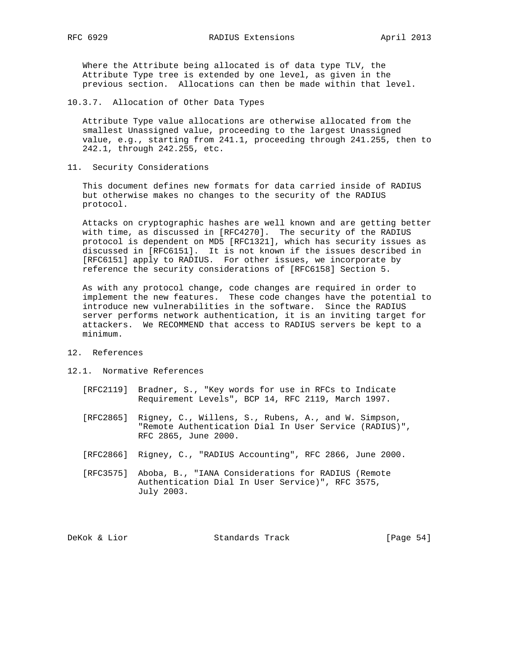Where the Attribute being allocated is of data type TLV, the Attribute Type tree is extended by one level, as given in the previous section. Allocations can then be made within that level.

10.3.7. Allocation of Other Data Types

 Attribute Type value allocations are otherwise allocated from the smallest Unassigned value, proceeding to the largest Unassigned value, e.g., starting from 241.1, proceeding through 241.255, then to 242.1, through 242.255, etc.

11. Security Considerations

 This document defines new formats for data carried inside of RADIUS but otherwise makes no changes to the security of the RADIUS protocol.

 Attacks on cryptographic hashes are well known and are getting better with time, as discussed in [RFC4270]. The security of the RADIUS protocol is dependent on MD5 [RFC1321], which has security issues as discussed in [RFC6151]. It is not known if the issues described in [RFC6151] apply to RADIUS. For other issues, we incorporate by reference the security considerations of [RFC6158] Section 5.

 As with any protocol change, code changes are required in order to implement the new features. These code changes have the potential to introduce new vulnerabilities in the software. Since the RADIUS server performs network authentication, it is an inviting target for attackers. We RECOMMEND that access to RADIUS servers be kept to a minimum.

#### 12. References

- 12.1. Normative References
	- [RFC2119] Bradner, S., "Key words for use in RFCs to Indicate Requirement Levels", BCP 14, RFC 2119, March 1997.
	- [RFC2865] Rigney, C., Willens, S., Rubens, A., and W. Simpson, "Remote Authentication Dial In User Service (RADIUS)", RFC 2865, June 2000.
	- [RFC2866] Rigney, C., "RADIUS Accounting", RFC 2866, June 2000.
	- [RFC3575] Aboba, B., "IANA Considerations for RADIUS (Remote Authentication Dial In User Service)", RFC 3575, July 2003.

DeKok & Lior Standards Track [Page 54]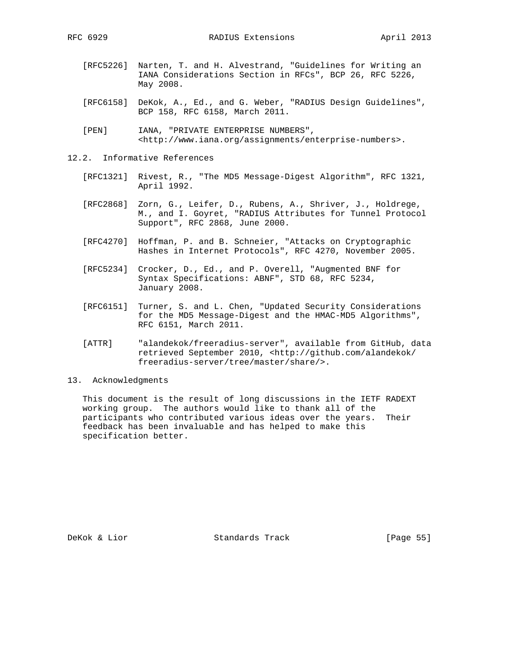- [RFC5226] Narten, T. and H. Alvestrand, "Guidelines for Writing an IANA Considerations Section in RFCs", BCP 26, RFC 5226, May 2008.
- [RFC6158] DeKok, A., Ed., and G. Weber, "RADIUS Design Guidelines", BCP 158, RFC 6158, March 2011.
- [PEN] IANA, "PRIVATE ENTERPRISE NUMBERS", <http://www.iana.org/assignments/enterprise-numbers>.
- 12.2. Informative References
	- [RFC1321] Rivest, R., "The MD5 Message-Digest Algorithm", RFC 1321, April 1992.
	- [RFC2868] Zorn, G., Leifer, D., Rubens, A., Shriver, J., Holdrege, M., and I. Goyret, "RADIUS Attributes for Tunnel Protocol Support", RFC 2868, June 2000.
	- [RFC4270] Hoffman, P. and B. Schneier, "Attacks on Cryptographic Hashes in Internet Protocols", RFC 4270, November 2005.
	- [RFC5234] Crocker, D., Ed., and P. Overell, "Augmented BNF for Syntax Specifications: ABNF", STD 68, RFC 5234, January 2008.
	- [RFC6151] Turner, S. and L. Chen, "Updated Security Considerations for the MD5 Message-Digest and the HMAC-MD5 Algorithms", RFC 6151, March 2011.
	- [ATTR] "alandekok/freeradius-server", available from GitHub, data retrieved September 2010, <http://github.com/alandekok/ freeradius-server/tree/master/share/>.

## 13. Acknowledgments

 This document is the result of long discussions in the IETF RADEXT working group. The authors would like to thank all of the participants who contributed various ideas over the years. Their feedback has been invaluable and has helped to make this specification better.

DeKok & Lior Standards Track [Page 55]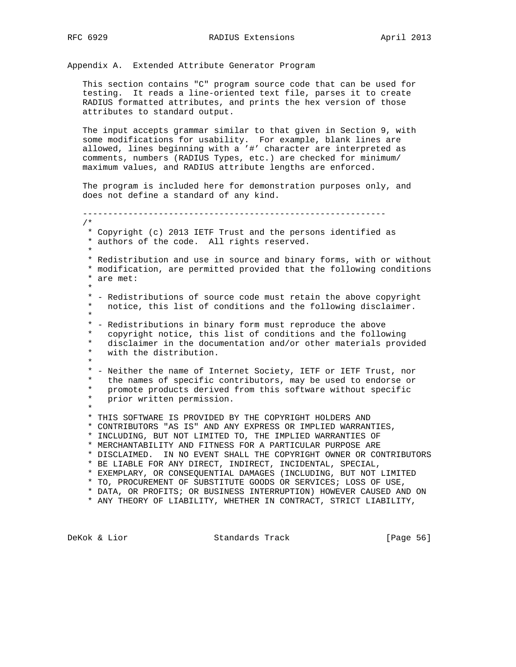Appendix A. Extended Attribute Generator Program

 This section contains "C" program source code that can be used for testing. It reads a line-oriented text file, parses it to create RADIUS formatted attributes, and prints the hex version of those attributes to standard output.

 The input accepts grammar similar to that given in Section 9, with some modifications for usability. For example, blank lines are allowed, lines beginning with a '#' character are interpreted as comments, numbers (RADIUS Types, etc.) are checked for minimum/ maximum values, and RADIUS attribute lengths are enforced.

 The program is included here for demonstration purposes only, and does not define a standard of any kind.

 ------------------------------------------------------------ /\* \* Copyright (c) 2013 IETF Trust and the persons identified as \* authors of the code. All rights reserved. \* \* Redistribution and use in source and binary forms, with or without \* modification, are permitted provided that the following conditions \* are met: \* \* - Redistributions of source code must retain the above copyright \* notice, this list of conditions and the following disclaimer. \* \* - Redistributions in binary form must reproduce the above \* copyright notice, this list of conditions and the following<br>\* disclaimer in the documentation and/or other materials provi disclaimer in the documentation and/or other materials provided \* with the distribution. \* \* - Neither the name of Internet Society, IETF or IETF Trust, nor \* the names of specific contributors, may be used to endorse or \* promote products derived from this software without specific \* prior written permission. \* \* THIS SOFTWARE IS PROVIDED BY THE COPYRIGHT HOLDERS AND \* CONTRIBUTORS "AS IS" AND ANY EXPRESS OR IMPLIED WARRANTIES, \* INCLUDING, BUT NOT LIMITED TO, THE IMPLIED WARRANTIES OF \* MERCHANTABILITY AND FITNESS FOR A PARTICULAR PURPOSE ARE \* DISCLAIMED. IN NO EVENT SHALL THE COPYRIGHT OWNER OR CONTRIBUTORS \* BE LIABLE FOR ANY DIRECT, INDIRECT, INCIDENTAL, SPECIAL, \* EXEMPLARY, OR CONSEQUENTIAL DAMAGES (INCLUDING, BUT NOT LIMITED \* TO, PROCUREMENT OF SUBSTITUTE GOODS OR SERVICES; LOSS OF USE, \* DATA, OR PROFITS; OR BUSINESS INTERRUPTION) HOWEVER CAUSED AND ON \* ANY THEORY OF LIABILITY, WHETHER IN CONTRACT, STRICT LIABILITY,

DeKok & Lior Standards Track [Page 56]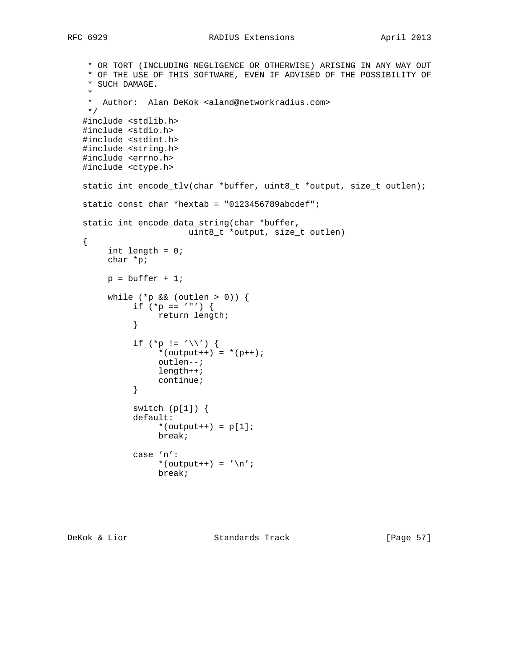```
 * OR TORT (INCLUDING NEGLIGENCE OR OTHERWISE) ARISING IN ANY WAY OUT
    * OF THE USE OF THIS SOFTWARE, EVEN IF ADVISED OF THE POSSIBILITY OF
    * SUCH DAMAGE.
 *
    * Author: Alan DeKok <aland@networkradius.com>
    */
   #include <stdlib.h>
   #include <stdio.h>
   #include <stdint.h>
   #include <string.h>
   #include <errno.h>
   #include <ctype.h>
   static int encode_tlv(char *buffer, uint8_t *output, size_t outlen);
   static const char *hextab = "0123456789abcdef";
   static int encode_data_string(char *buffer,
                       uint8_t *output, size_t outlen)
   {
        int length = 0;
        char *p;
       p = buffer + 1;while (*p \& (outlen > 0)) {
            if (*p == ' "') {
            return length;<br>}
 }
            if (*p != '\\') {
                 *(output++) = *(p++);
                  outlen--;
                  length++;
              continue;
 }
             switch (p[1]) {
             default:
                  *(output++) = p[1];
                  break;
             case 'n':
                 *(output++) = '\nrightarrows break;
```
DeKok & Lior Standards Track [Page 57]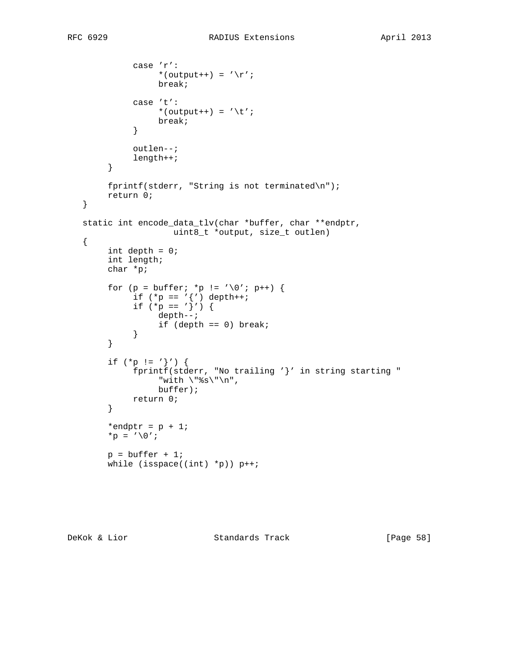```
 case 'r':
                  *(output++) = '\r';
                  break;
              case 't':
                  *(output++) = \iota \setminus t';
             break;
 }
              outlen--;
              length++;
         }
        fprintf(stderr, "String is not terminated\n");
        return 0;
   }
   static int encode_data_tlv(char *buffer, char **endptr,
                     uint8_t *output, size_t outlen)
   {
       int depth = 0;
        int length;
        char *p;
        for (p = buffer; *p != \sqrt{0'i} p++) {
if (*p == '{'}) depth++;
if (*p == '}'') {
                  depth--;
              if (depth == 0) break;
 }
         }
        if (*p := '}'') {
             fprintf(stderr, "No trailing '}' in string starting "
                  "with \forall"%s\forall"\n",
                  buffer);
             return 0;
         }
        *endptr = p + 1;
        *p = \prime\sqrt{0'i}p = buffer + 1;while (isspace((int) *p)) p++;
```
DeKok & Lior Standards Track [Page 58]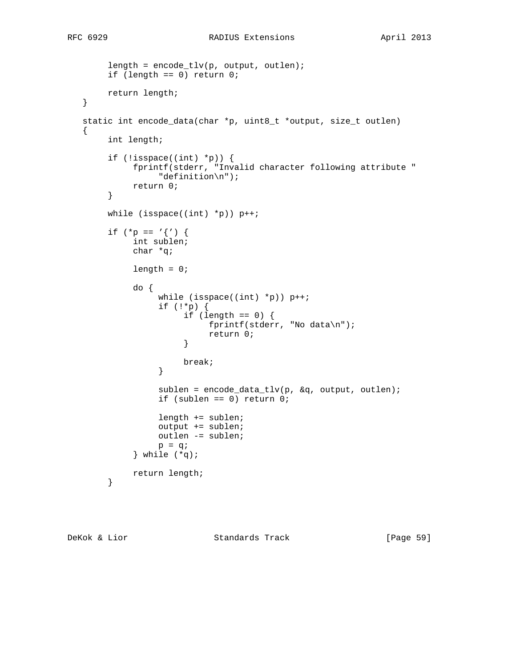```
length = encode\_tlv(p, output, outline); if (length == 0) return 0;
        return length;
   }
   static int encode_data(char *p, uint8_t *output, size_t outlen)
   {
        int length;
       if (!isspace((int) *p)) {
            fprintf(stderr, "Invalid character following attribute "
                  "definition\n");
             return 0;
        }
        while (isspace((int) *p)) p++;
       if (*p == '{'}) {
             int sublen;
             char *q;
            length = 0; do {
                 while (isspace((int) *p)) p++;
                  if (!*p) {
                      if (length == 0) {
                            fprintf(stderr, "No data\n");
                      return 0;<br>}
 }
                 break;
 }
                  sublen = encode_data_tlv(p, &q, output, outlen);
                  if (sublen == 0) return 0;
                  length += sublen;
                  output += sublen;
                  outlen -= sublen;
                 p = q;
             } while (*q);
             return length;
        }
```
DeKok & Lior Standards Track [Page 59]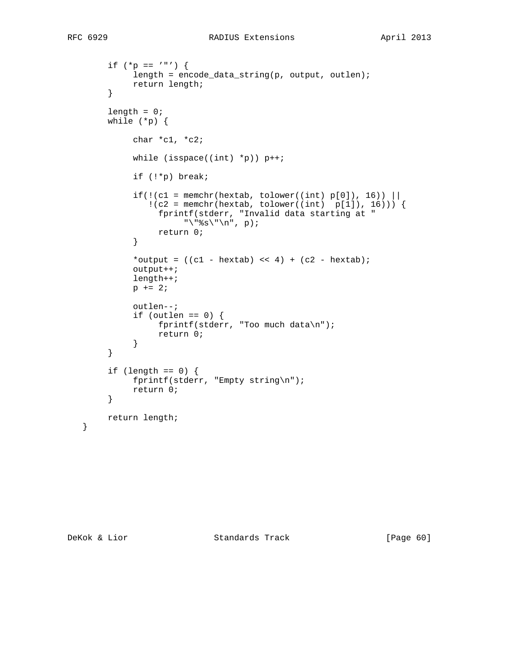```
if (*p == ' "') {
            length = encode_data_string(p, output, outlen);
             return length;
        }
       length = 0; while (*p) {
             char *c1, *c2;
            while (isspace((int) *p)) p++; if (!*p) break;
            if(!(c1 = member(hextab, tolower((int) p[0]), 16))!(c2 = member(hextab, tolower((int) p[1]), 16)) fprintf(stderr, "Invalid data starting at "
                      "\"%s\"\n", p);
            return 0;<br>}
 }
            *output = ((c1 - hextab) << 4) + (c2 - hextab)i output++;
             length++;
            p += 2;
             outlen--;
            if (outlen == 0) {
                  fprintf(stderr, "Too much data\n");
            return 0;<br>}
 }
        }
       if (length == 0) {
             fprintf(stderr, "Empty string\n");
             return 0;
        }
        return length;
```
}

DeKok & Lior Standards Track [Page 60]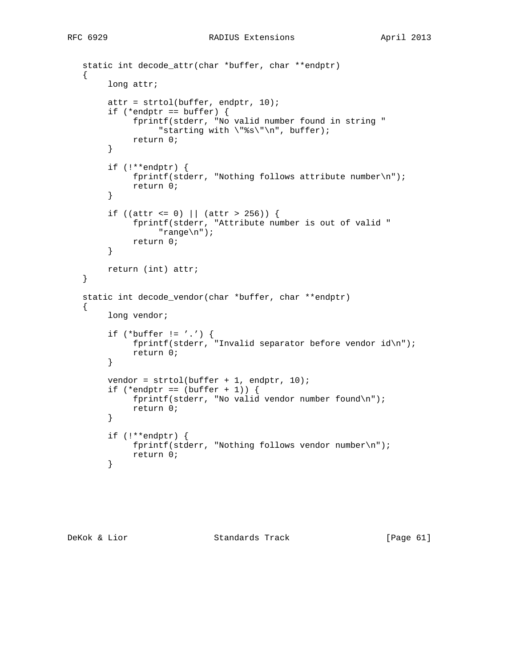```
 static int decode_attr(char *buffer, char **endptr)
 {
     long attr;
      attr = strtol(buffer, endptr, 10);
     if (*endptr == buffer) {
           fprintf(stderr, "No valid number found in string "
               "starting with \forall "\s\"\n", buffer);
           return 0;
      }
      if (!**endptr) {
           fprintf(stderr, "Nothing follows attribute number\n");
           return 0;
      }
     if ((attr <= 0) | (attr > 256)) {
          fprintf(stderr, "Attribute number is out of valid "
                "range\n");
           return 0;
      }
      return (int) attr;
 }
 static int decode_vendor(char *buffer, char **endptr)
 {
     long vendor;
     if (*buffer := ', ') {
           fprintf(stderr, "Invalid separator before vendor id\n");
          return 0;
      }
     vendor = strol(buffer + 1, endptr, 10);if (*endptr == (buffer + 1)) {
           fprintf(stderr, "No valid vendor number found\n");
           return 0;
      }
      if (!**endptr) {
          fprintf(stderr, "Nothing follows vendor number\n");
           return 0;
      }
```
DeKok & Lior Standards Track [Page 61]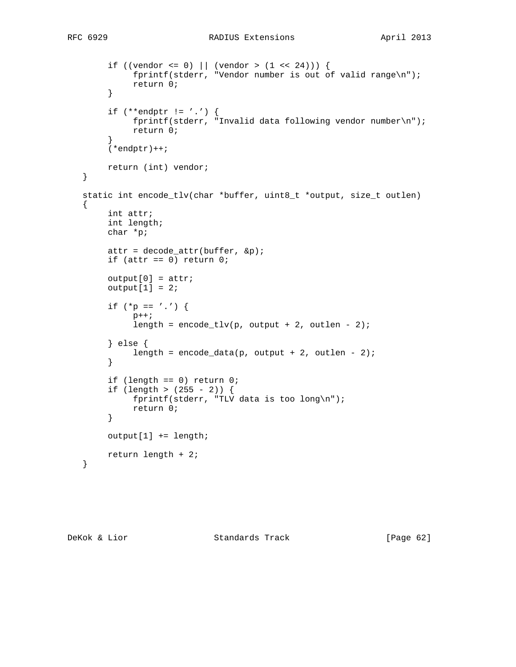```
if ((vendor <= 0) || (vendor > (1 \lt < 24))) {
          fprintf(stderr, "Vendor number is out of valid range\n");
           return 0;
      }
     if (**endptr := ', ') {
           fprintf(stderr, "Invalid data following vendor number\n");
           return 0;
      }
     (*endptr)++; return (int) vendor;
 }
 static int encode_tlv(char *buffer, uint8_t *output, size_t outlen)
\left\{ \right. int attr;
      int length;
      char *p;
     attr = decode_attr(buffer, \&p);if (attr == 0) return 0;
     output[0] = attr;output[1] = 2;if (*p == ', ') {
          p++;length = encode_tlv(p, output + 2, outlen - 2);
      } else {
          length = encode_data(p, output + 2, outlen - 2);
      }
      if (length == 0) return 0;
     if (length > (255 - 2)) {
           fprintf(stderr, "TLV data is too long\n");
           return 0;
      }
      output[1] += length;
      return length + 2;
 }
```
DeKok & Lior Standards Track [Page 62]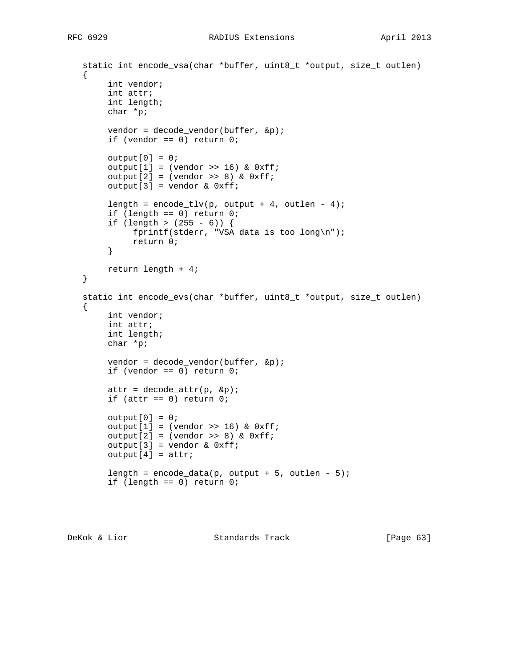```
 static int encode_vsa(char *buffer, uint8_t *output, size_t outlen)
\left\{ \right. int vendor;
      int attr;
     int length;
     char *p;
     vendor = decode_vendor(buffer, &p);
    if (vendor == 0) return 0;
    output[0] = 0;output[1] = (vendor >> 16) & 0xff;output[2] = (vendor >> 8) & 0xff;output[3] = vendor & 0xff;length = encode_tlv(p, output + 4, outlen - 4);
      if (length == 0) return 0;
     if (length > (255 - 6)) {
           fprintf(stderr, "VSA data is too long\n");
           return 0;
      }
     return length + 4;
 }
 static int encode_evs(char *buffer, uint8_t *output, size_t outlen)
 {
      int vendor;
     int attr;
     int length;
     char *p;
    vendor = decode_vendor(buffer, \&p);
     if (vendor == 0) return 0;
    attr = decode_attr(p, \&p);if (attr == 0) return 0;
    output[0] = 0;output[1] = (vendor >> 16) & 0xff;output[2] = (vendor \gg 8) \& 0xff;output[3] = vendor & 0xff;output[4] = attr;length = encode_data(p, output + 5, outlen - 5);
      if (length == 0) return 0;
```
DeKok & Lior Standards Track [Page 63]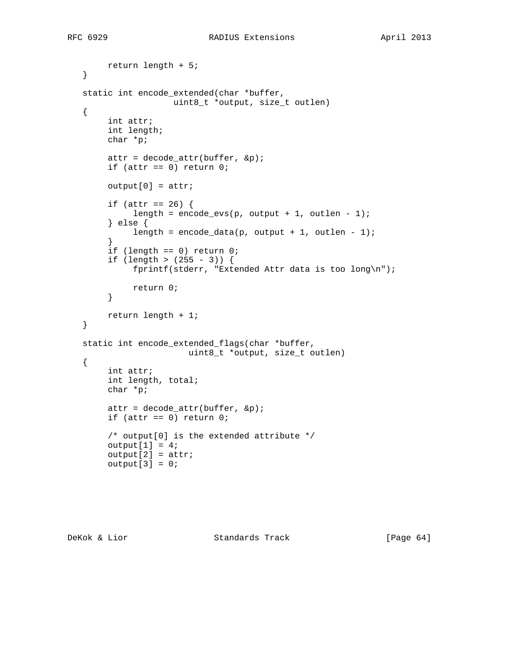```
 return length + 5;
   }
   static int encode_extended(char *buffer,
                    uint8_t *output, size_t outlen)
   {
        int attr;
        int length;
        char *p;
       attr = decode_attr(buffer, \&p);if (attr == 0) return 0;
       output[0] = attr;if (attr == 26) {
            length = encode_evs(p, output + 1, outlen - 1);
         } else {
            length = encode_data(p, output + 1, outlen - 1);
 }
        if (length == 0) return 0;
       if (length > (255 - 3)) {
              fprintf(stderr, "Extended Attr data is too long\n");
             return 0;
         }
        return length + 1;
   }
   static int encode_extended_flags(char *buffer,
                        uint8_t *output, size_t outlen)
   {
        int attr;
        int length, total;
        char *p;
       attr = decode_attr(buffer, \&p);if (attr == 0) return 0;
        /* output[0] is the extended attribute */
       output[1] = 4;output[2] = attr;output[3] = 0;
```
DeKok & Lior Standards Track [Page 64]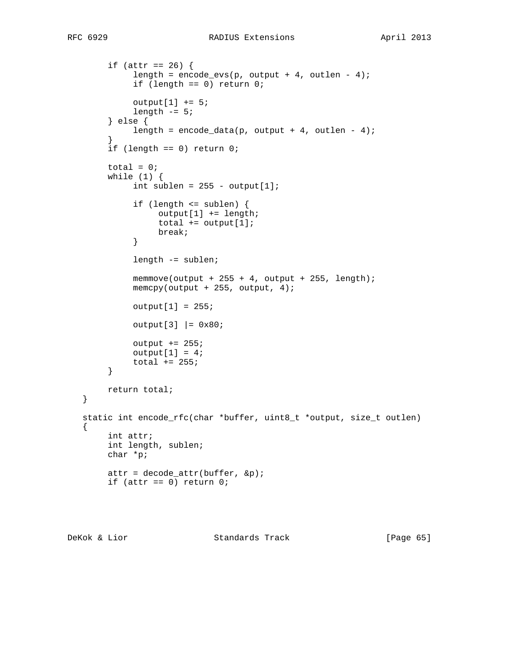```
if (attr == 26) {
            length = encode_evs(p, output + 4, outlen - 4);
             if (length == 0) return 0;
            output[1] += 5;length -5; } else {
            length = encode_data(p, output + 4, outlen - 4);
 }
        if (length == 0) return 0;
       total = 0; while (1) {
            int sublen = 255 - output[1]; if (length <= sublen) {
                  output[1] += length;
                 total += output[1];
            break;
 }
             length -= sublen;
            memmove(output + 255 + 4, output + 255, length);
             memcpy(output + 255, output, 4);
            output[1] = 255;output[3] | = 0x80;
            output += 255;output[1] = 4;total += 255; }
        return total;
   }
   static int encode_rfc(char *buffer, uint8_t *output, size_t outlen)
   {
        int attr;
        int length, sublen;
        char *p;
       attr = decode_attr(buffer, \&p);if (attr == 0) return 0;
```
DeKok & Lior Standards Track [Page 65]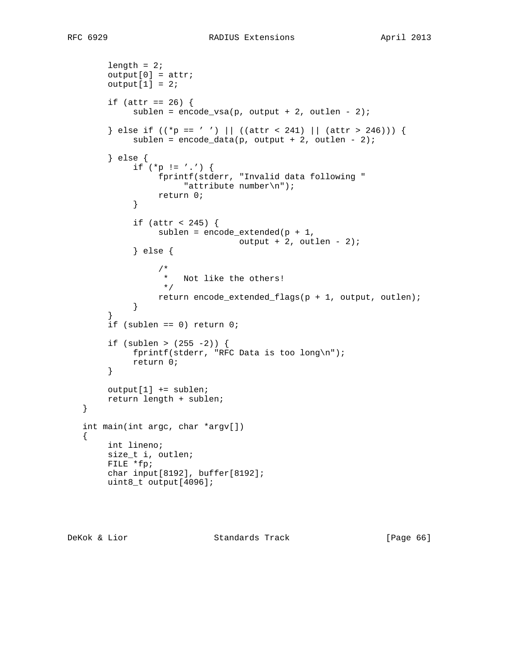```
length = 2ioutput[0] = attr;output[1] = 2;if (attr == 26) {
            sublen = encode_vsa(p, output + 2, outlen - 2);
       } else if (( *p == ' ' ) || ((attr < 241) || (attr > 246))) {
            sublen = encode_data(p, output + 2, outlen - 2);
        } else {
            if (*p := ', ') {
                 fprintf(stderr, "Invalid data following "
                    "attribute number\n");
            return 0;<br>}
 }
            if (attr < 245) \{sublen = encode\_extended(p + 1,output +2, outlen -2);
             } else {
 /*
                  * Not like the others!<br>*/
\star/return encode_extended_flags(p + 1, output, outlen);<br>}
 }
 }
        if (sublen == 0) return 0;
       if (sublen > (255 -2)) {
            fprintf(stderr, "RFC Data is too long\n");
             return 0;
        }
        output[1] += sublen;
        return length + sublen;
   }
   int main(int argc, char *argv[])
  \mathcal{L} int lineno;
        size_t i, outlen;
        FILE *fp;
        char input[8192], buffer[8192];
        uint8_t output[4096];
```
DeKok & Lior Standards Track [Page 66]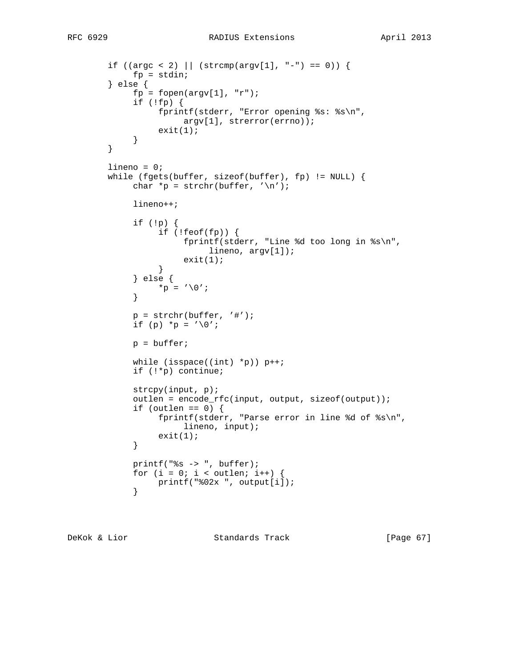```
if ((\arg c < 2) || (\text{strong}(\arg v[1], "--") == 0))fp = stdin; } else {
            fp = fopen(argv[1], "r");
             if (!fp) {
                  fprintf(stderr, "Error opening %s: %s\n",
                      argv[1], strerror(errno));
            \{ exit(1);
 }
        }
        lineno = 0;
       while (fgets(buffer, sizeof(buffer), fp) != NULL) {
            char *p = strchr(buffer, '\n\cdot i);
             lineno++;
             if (!p) {
                 if (! \text{feof}(\text{fp})) {
                       fprintf(stderr, "Line %d too long in %s\n",
                           lineno, argv[1]);
                 ext(1); }
             } else {
            *_{p} = ' \ 0';
 }
            p = structhr(buffer, '#');if (p) *_{p} = ' \0';p = buffer;
            while (isspace((int) *p)) p++; if (!*p) continue;
             strcpy(input, p);
             outlen = encode_rfc(input, output, sizeof(output));
            if (outlen == 0) {
                  fprintf(stderr, "Parse error in line %d of %s\n",
                       lineno, input);
            \{ exit(1);
 }
             printf("%s -> ", buffer);
            for (i = 0; i < outlen; i++) {
            printf("%02x ", output[i]);<br>}
 }
```
DeKok & Lior Standards Track [Page 67]